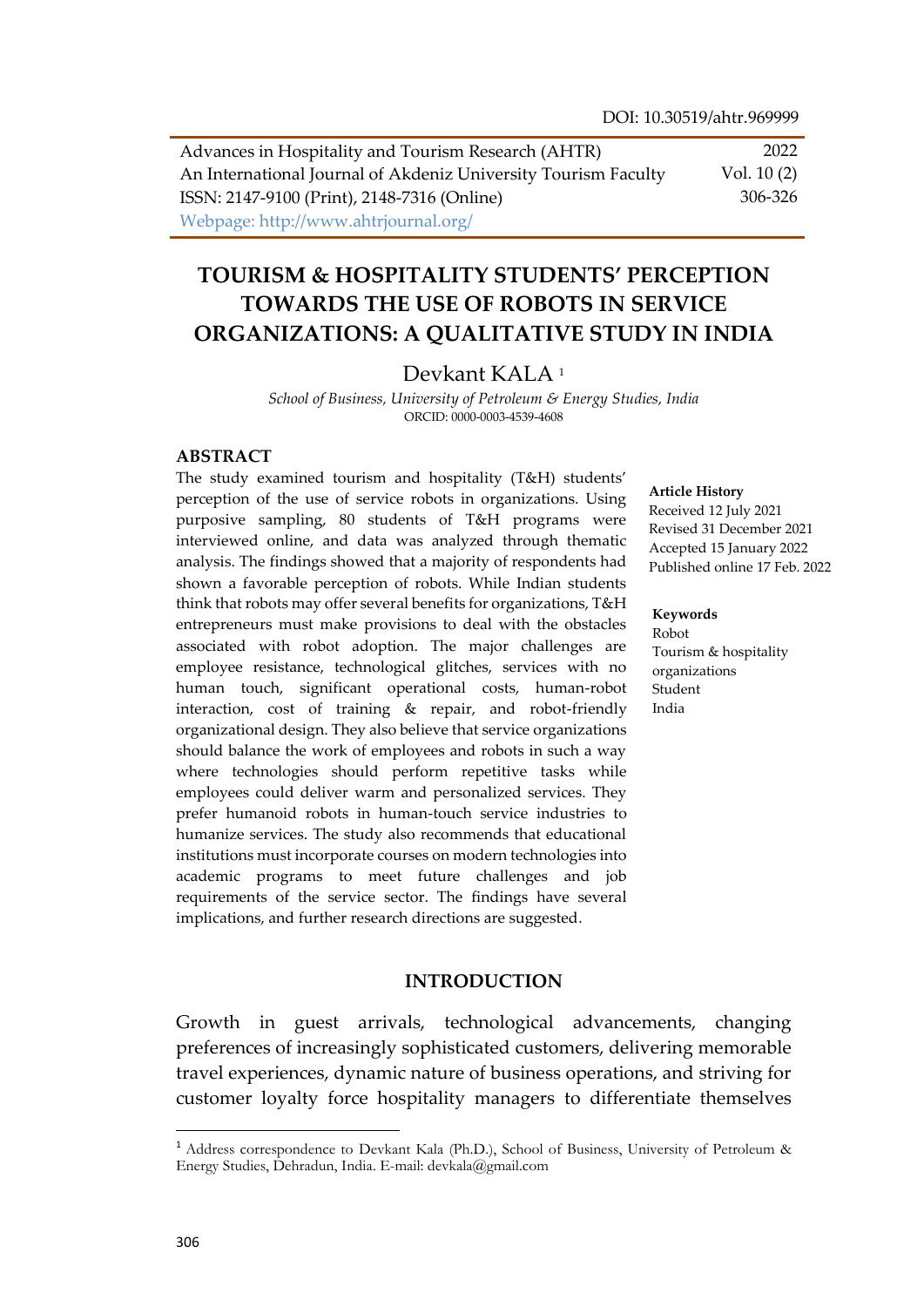Advances in Hospitality and Tourism Research (AHTR) An International Journal of Akdeniz University Tourism Faculty ISSN: 2147-9100 (Print), 2148-7316 (Online) Webpage: http://www.ahtrjournal.org/ 2022 Vol. 10 (2) 306-326

# **TOURISM & HOSPITALITY STUDENTS' PERCEPTION TOWARDS THE USE OF ROBOTS IN SERVICE ORGANIZATIONS: A QUALITATIVE STUDY IN INDIA**

#### Devkant KALA<sup>1</sup>

*School of Business, University of Petroleum & Energy Studies, India* ORCID: 0000-0003-4539-4608

#### **ABSTRACT**

The study examined tourism and hospitality (T&H) students' perception of the use of service robots in organizations. Using purposive sampling, 80 students of T&H programs were interviewed online, and data was analyzed through thematic analysis. The findings showed that a majority of respondents had shown a favorable perception of robots. While Indian students think that robots may offer several benefits for organizations, T&H entrepreneurs must make provisions to deal with the obstacles associated with robot adoption. The major challenges are employee resistance, technological glitches, services with no human touch, significant operational costs, human-robot interaction, cost of training & repair, and robot-friendly organizational design. They also believe that service organizations should balance the work of employees and robots in such a way where technologies should perform repetitive tasks while employees could deliver warm and personalized services. They prefer humanoid robots in human-touch service industries to humanize services. The study also recommends that educational institutions must incorporate courses on modern technologies into academic programs to meet future challenges and job requirements of the service sector. The findings have several implications, and further research directions are suggested.

#### **Article History**

Received 12 July 2021 Revised 31 December 2021 Accepted 15 January 2022 Published online 17 Feb. 2022

#### **Keywords**

Robot Tourism & hospitality organizations Student India

### **INTRODUCTION**

Growth in guest arrivals, technological advancements, changing preferences of increasingly sophisticated customers, delivering memorable travel experiences, dynamic nature of business operations, and striving for customer loyalty force hospitality managers to differentiate themselves

 $\overline{a}$ 

<sup>1</sup> Address correspondence to Devkant Kala (Ph.D.), School of Business, University of Petroleum & Energy Studies, Dehradun, India. E-mail: devkala@gmail.com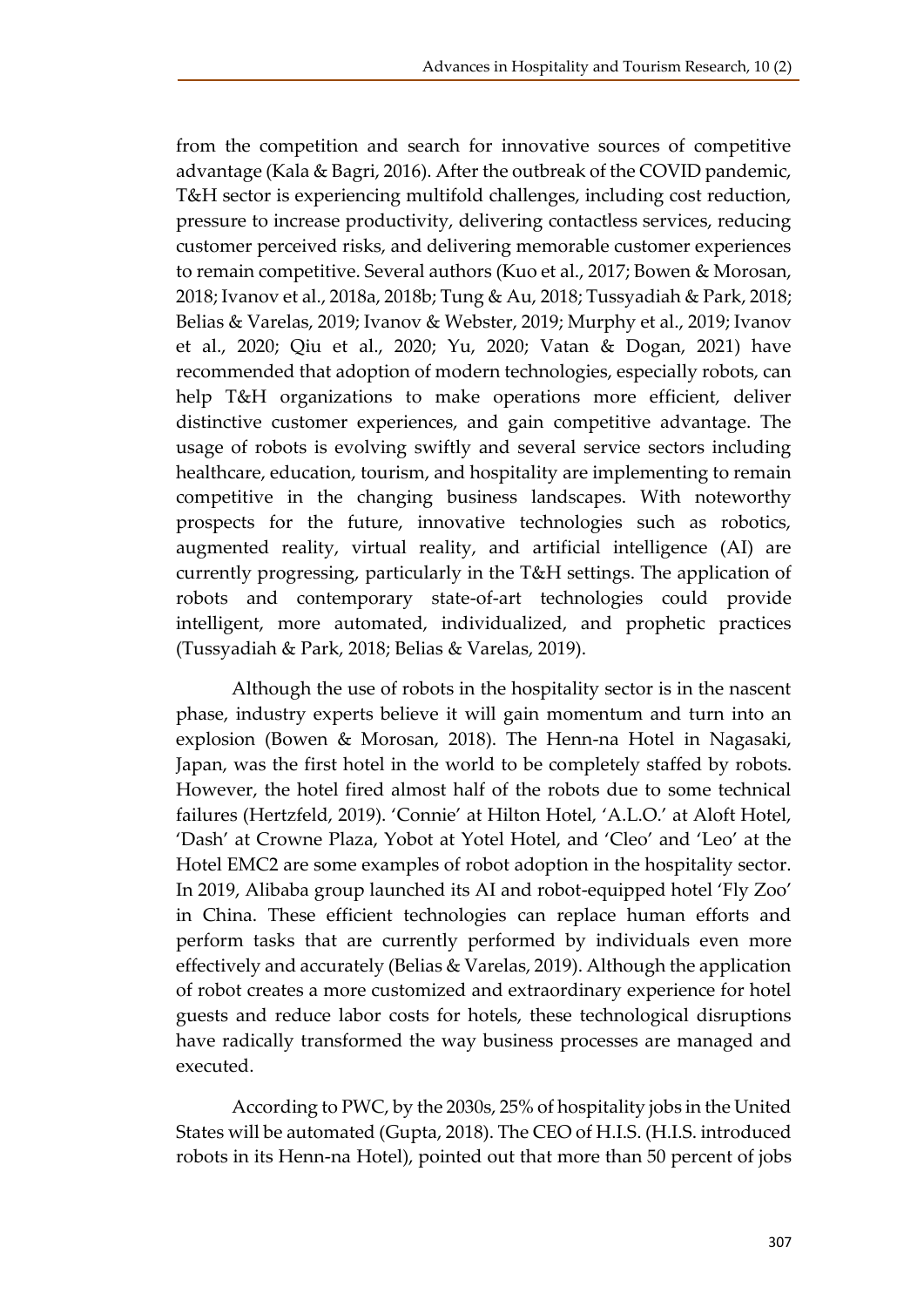from the competition and search for innovative sources of competitive advantage (Kala & Bagri, 2016). After the outbreak of the COVID pandemic, T&H sector is experiencing multifold challenges, including cost reduction, pressure to increase productivity, delivering contactless services, reducing customer perceived risks, and delivering memorable customer experiences to remain competitive. Several authors (Kuo et al., 2017; Bowen & Morosan, 2018; Ivanov et al., 2018a, 2018b; Tung & Au, 2018; Tussyadiah & Park, 2018; Belias & Varelas, 2019; Ivanov & Webster, 2019; Murphy et al., 2019; Ivanov et al., 2020; Qiu et al., 2020; Yu, 2020; Vatan & Dogan, 2021) have recommended that adoption of modern technologies, especially robots, can help T&H organizations to make operations more efficient, deliver distinctive customer experiences, and gain competitive advantage. The usage of robots is evolving swiftly and several service sectors including healthcare, education, tourism, and hospitality are implementing to remain competitive in the changing business landscapes. With noteworthy prospects for the future, innovative technologies such as robotics, augmented reality, virtual reality, and artificial intelligence (AI) are currently progressing, particularly in the T&H settings. The application of robots and contemporary state-of-art technologies could provide intelligent, more automated, individualized, and prophetic practices (Tussyadiah & Park, 2018; Belias & Varelas, 2019).

Although the use of robots in the hospitality sector is in the nascent phase, industry experts believe it will gain momentum and turn into an explosion (Bowen & Morosan, 2018). The Henn-na Hotel in Nagasaki, Japan, was the first hotel in the world to be completely staffed by robots. However, the hotel fired almost half of the robots due to some technical failures (Hertzfeld, 2019). 'Connie' at Hilton Hotel, 'A.L.O.' at Aloft Hotel, 'Dash' at Crowne Plaza, Yobot at Yotel Hotel, and 'Cleo' and 'Leo' at the Hotel EMC2 are some examples of robot adoption in the hospitality sector. In 2019, Alibaba group launched its AI and robot-equipped hotel 'Fly Zoo' in China. These efficient technologies can replace human efforts and perform tasks that are currently performed by individuals even more effectively and accurately (Belias & Varelas, 2019). Although the application of robot creates a more customized and extraordinary experience for hotel guests and reduce labor costs for hotels, these technological disruptions have radically transformed the way business processes are managed and executed.

According to PWC, by the 2030s, 25% of hospitality jobs in the United States will be automated (Gupta, 2018). The CEO of H.I.S. (H.I.S. introduced robots in its Henn-na Hotel), pointed out that more than 50 percent of jobs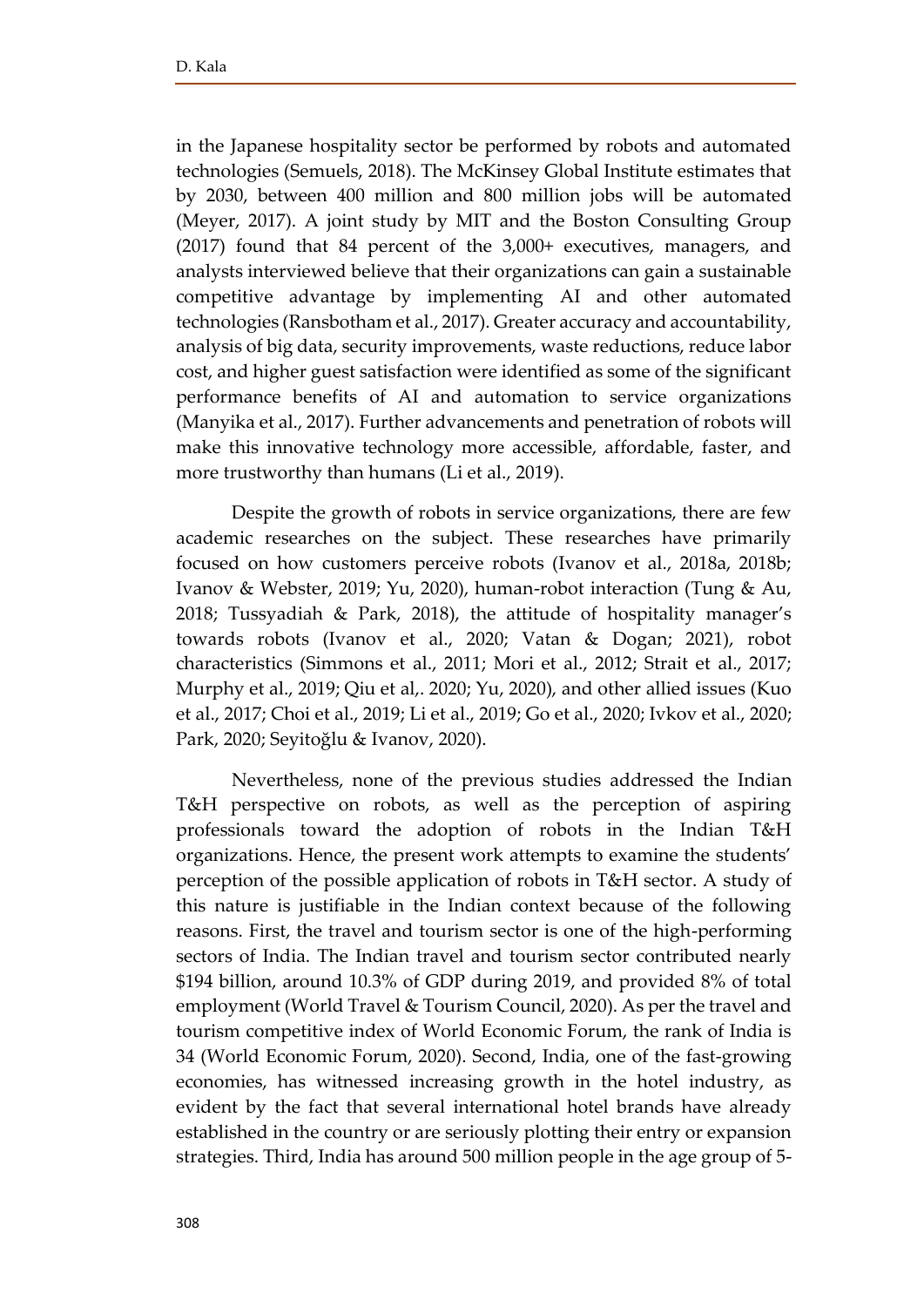in the Japanese hospitality sector be performed by robots and automated technologies (Semuels, 2018). The McKinsey Global Institute estimates that by 2030, between 400 million and 800 million jobs will be automated (Meyer, 2017). A joint study by MIT and the Boston Consulting Group (2017) found that 84 percent of the 3,000+ executives, managers, and analysts interviewed believe that their organizations can gain a sustainable competitive advantage by implementing AI and other automated technologies (Ransbotham et al., 2017). Greater accuracy and accountability, analysis of big data, security improvements, waste reductions, reduce labor cost, and higher guest satisfaction were identified as some of the significant performance benefits of AI and automation to service organizations (Manyika et al., 2017). Further advancements and penetration of robots will make this innovative technology more accessible, affordable, faster, and more trustworthy than humans (Li et al., 2019).

Despite the growth of robots in service organizations, there are few academic researches on the subject. These researches have primarily focused on how customers perceive robots (Ivanov et al., 2018a, 2018b; Ivanov & Webster, 2019; Yu, 2020), human-robot interaction (Tung & Au, 2018; Tussyadiah & Park, 2018), the attitude of hospitality manager's towards robots (Ivanov et al., 2020; Vatan & Dogan; 2021), robot characteristics (Simmons et al., 2011; Mori et al., 2012; Strait et al., 2017; Murphy et al., 2019; Qiu et al,. 2020; Yu, 2020), and other allied issues (Kuo et al., 2017; Choi et al., 2019; Li et al., 2019; Go et al., 2020; Ivkov et al., 2020; Park, 2020; Seyitoğlu & Ivanov, 2020).

Nevertheless, none of the previous studies addressed the Indian T&H perspective on robots, as well as the perception of aspiring professionals toward the adoption of robots in the Indian T&H organizations. Hence, the present work attempts to examine the students' perception of the possible application of robots in T&H sector. A study of this nature is justifiable in the Indian context because of the following reasons. First, the travel and tourism sector is one of the high-performing sectors of India. The Indian travel and tourism sector contributed nearly \$194 billion, around 10.3% of GDP during 2019, and provided 8% of total employment (World Travel & Tourism Council, 2020). As per the travel and tourism competitive index of World Economic Forum, the rank of India is 34 (World Economic Forum, 2020). Second, India, one of the fast-growing economies, has witnessed increasing growth in the hotel industry, as evident by the fact that several international hotel brands have already established in the country or are seriously plotting their entry or expansion strategies. Third, India has around 500 million people in the age group of 5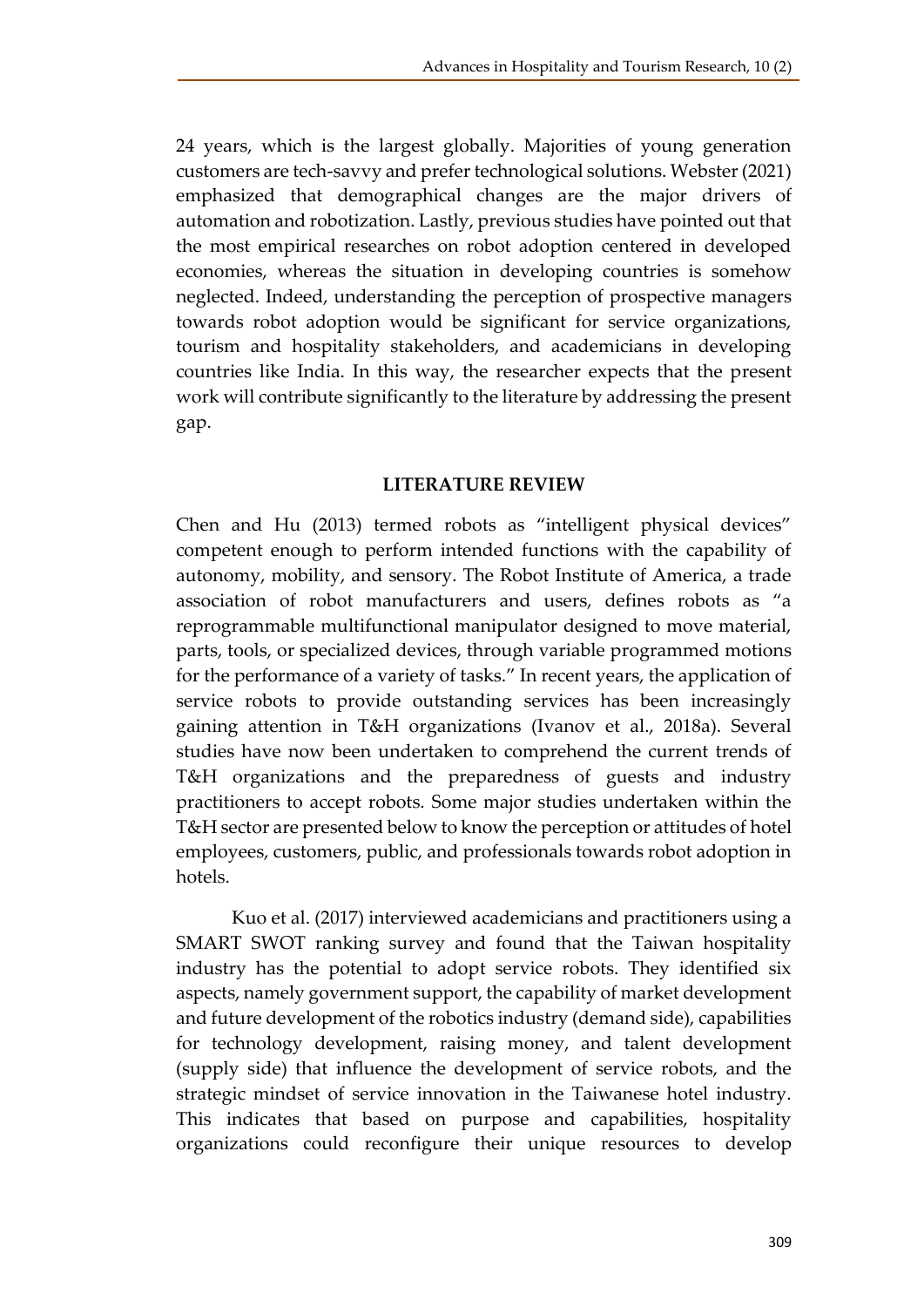24 years, which is the largest globally. Majorities of young generation customers are tech-savvy and prefer technological solutions. Webster (2021) emphasized that demographical changes are the major drivers of automation and robotization. Lastly, previous studies have pointed out that the most empirical researches on robot adoption centered in developed economies, whereas the situation in developing countries is somehow neglected. Indeed, understanding the perception of prospective managers towards robot adoption would be significant for service organizations, tourism and hospitality stakeholders, and academicians in developing countries like India. In this way, the researcher expects that the present work will contribute significantly to the literature by addressing the present gap.

## **LITERATURE REVIEW**

Chen and Hu (2013) termed robots as "intelligent physical devices" competent enough to perform intended functions with the capability of autonomy, mobility, and sensory. The Robot Institute of America, a trade association of robot manufacturers and users, defines robots as "a reprogrammable multifunctional manipulator designed to move material, parts, tools, or specialized devices, through variable programmed motions for the performance of a variety of tasks." In recent years, the application of service robots to provide outstanding services has been increasingly gaining attention in T&H organizations (Ivanov et al., 2018a). Several studies have now been undertaken to comprehend the current trends of T&H organizations and the preparedness of guests and industry practitioners to accept robots. Some major studies undertaken within the T&H sector are presented below to know the perception or attitudes of hotel employees, customers, public, and professionals towards robot adoption in hotels.

Kuo et al. (2017) interviewed academicians and practitioners using a SMART SWOT ranking survey and found that the Taiwan hospitality industry has the potential to adopt service robots. They identified six aspects, namely government support, the capability of market development and future development of the robotics industry (demand side), capabilities for technology development, raising money, and talent development (supply side) that influence the development of service robots, and the strategic mindset of service innovation in the Taiwanese hotel industry. This indicates that based on purpose and capabilities, hospitality organizations could reconfigure their unique resources to develop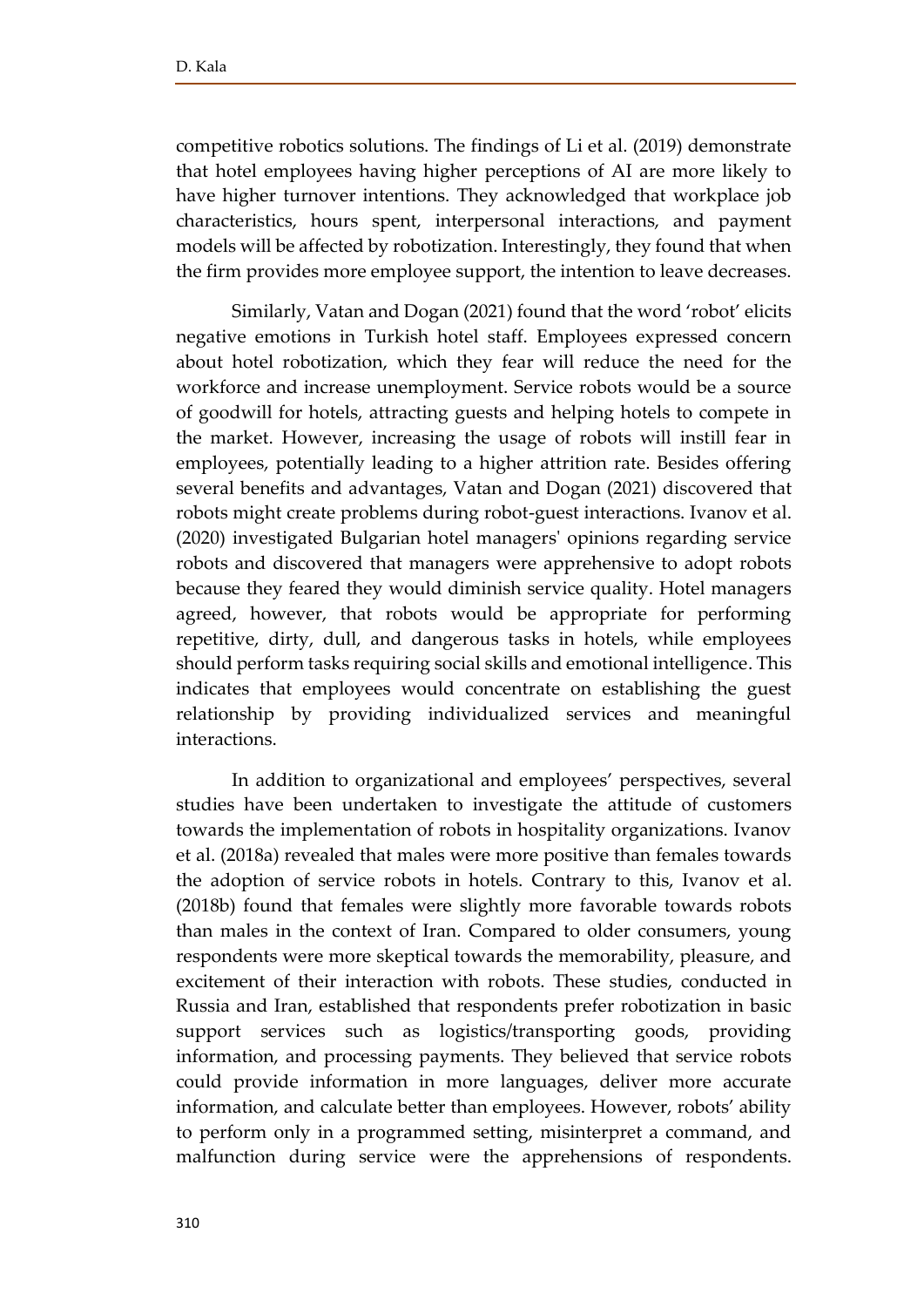competitive robotics solutions. The findings of Li et al. (2019) demonstrate that hotel employees having higher perceptions of AI are more likely to have higher turnover intentions. They acknowledged that workplace job characteristics, hours spent, interpersonal interactions, and payment models will be affected by robotization. Interestingly, they found that when the firm provides more employee support, the intention to leave decreases.

Similarly, Vatan and Dogan (2021) found that the word 'robot' elicits negative emotions in Turkish hotel staff. Employees expressed concern about hotel robotization, which they fear will reduce the need for the workforce and increase unemployment. Service robots would be a source of goodwill for hotels, attracting guests and helping hotels to compete in the market. However, increasing the usage of robots will instill fear in employees, potentially leading to a higher attrition rate. Besides offering several benefits and advantages, Vatan and Dogan (2021) discovered that robots might create problems during robot-guest interactions. Ivanov et al. (2020) investigated Bulgarian hotel managers' opinions regarding service robots and discovered that managers were apprehensive to adopt robots because they feared they would diminish service quality. Hotel managers agreed, however, that robots would be appropriate for performing repetitive, dirty, dull, and dangerous tasks in hotels, while employees should perform tasks requiring social skills and emotional intelligence. This indicates that employees would concentrate on establishing the guest relationship by providing individualized services and meaningful interactions.

In addition to organizational and employees' perspectives, several studies have been undertaken to investigate the attitude of customers towards the implementation of robots in hospitality organizations. Ivanov et al. (2018a) revealed that males were more positive than females towards the adoption of service robots in hotels. Contrary to this, Ivanov et al. (2018b) found that females were slightly more favorable towards robots than males in the context of Iran. Compared to older consumers, young respondents were more skeptical towards the memorability, pleasure, and excitement of their interaction with robots. These studies, conducted in Russia and Iran, established that respondents prefer robotization in basic support services such as logistics/transporting goods, providing information, and processing payments. They believed that service robots could provide information in more languages, deliver more accurate information, and calculate better than employees. However, robots' ability to perform only in a programmed setting, misinterpret a command, and malfunction during service were the apprehensions of respondents.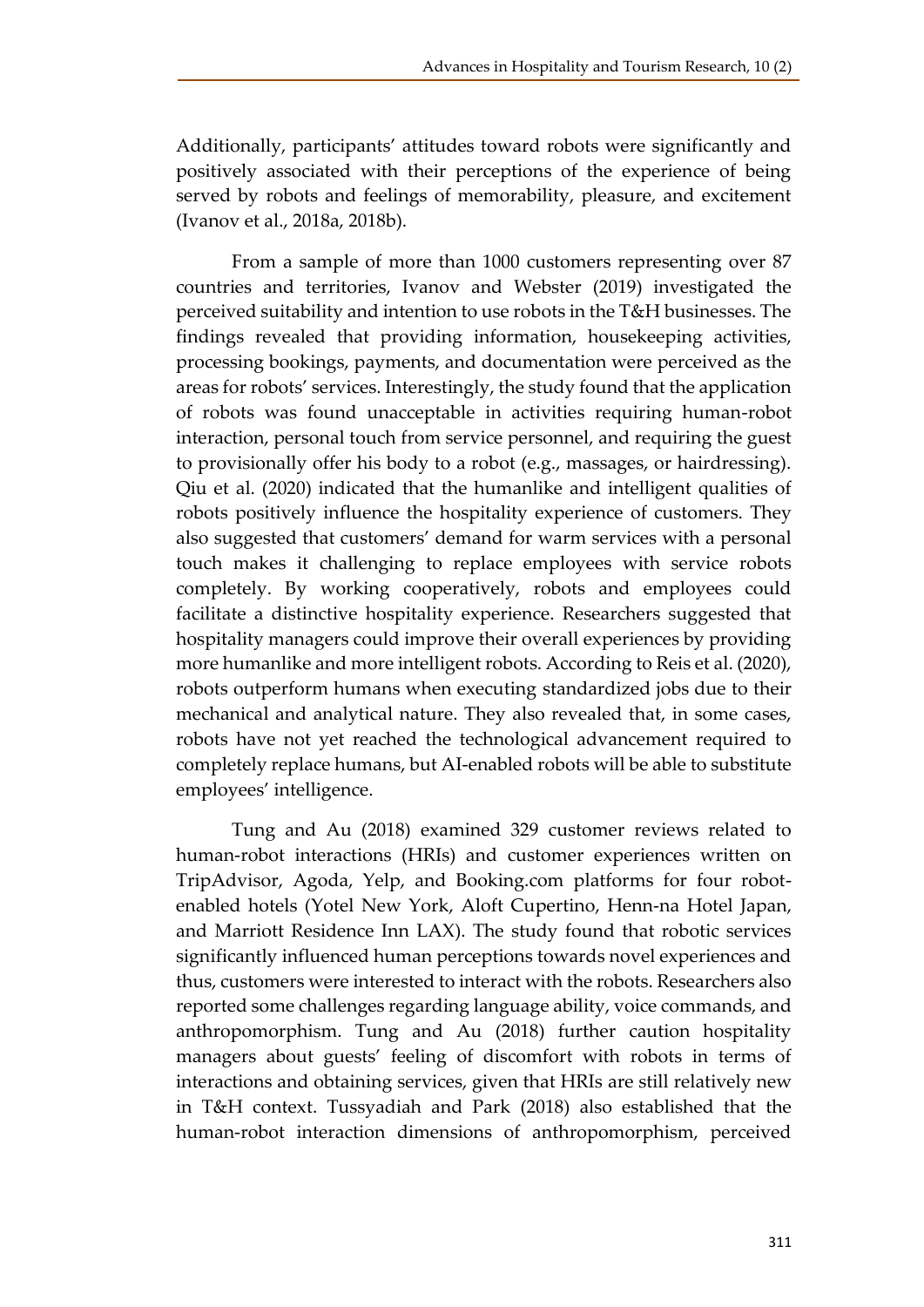Additionally, participants' attitudes toward robots were significantly and positively associated with their perceptions of the experience of being served by robots and feelings of memorability, pleasure, and excitement (Ivanov et al., 2018a, 2018b).

From a sample of more than 1000 customers representing over 87 countries and territories, Ivanov and Webster (2019) investigated the perceived suitability and intention to use robots in the T&H businesses. The findings revealed that providing information, housekeeping activities, processing bookings, payments, and documentation were perceived as the areas for robots' services. Interestingly, the study found that the application of robots was found unacceptable in activities requiring human-robot interaction, personal touch from service personnel, and requiring the guest to provisionally offer his body to a robot (e.g., massages, or hairdressing). Qiu et al. (2020) indicated that the humanlike and intelligent qualities of robots positively influence the hospitality experience of customers. They also suggested that customers' demand for warm services with a personal touch makes it challenging to replace employees with service robots completely. By working cooperatively, robots and employees could facilitate a distinctive hospitality experience. Researchers suggested that hospitality managers could improve their overall experiences by providing more humanlike and more intelligent robots. According to Reis et al. (2020), robots outperform humans when executing standardized jobs due to their mechanical and analytical nature. They also revealed that, in some cases, robots have not yet reached the technological advancement required to completely replace humans, but AI-enabled robots will be able to substitute employees' intelligence.

Tung and Au (2018) examined 329 customer reviews related to human-robot interactions (HRIs) and customer experiences written on TripAdvisor, Agoda, Yelp, and Booking.com platforms for four robotenabled hotels (Yotel New York, Aloft Cupertino, Henn-na Hotel Japan, and Marriott Residence Inn LAX). The study found that robotic services significantly influenced human perceptions towards novel experiences and thus, customers were interested to interact with the robots. Researchers also reported some challenges regarding language ability, voice commands, and anthropomorphism. Tung and Au (2018) further caution hospitality managers about guests' feeling of discomfort with robots in terms of interactions and obtaining services, given that HRIs are still relatively new in T&H context. Tussyadiah and Park (2018) also established that the human-robot interaction dimensions of anthropomorphism, perceived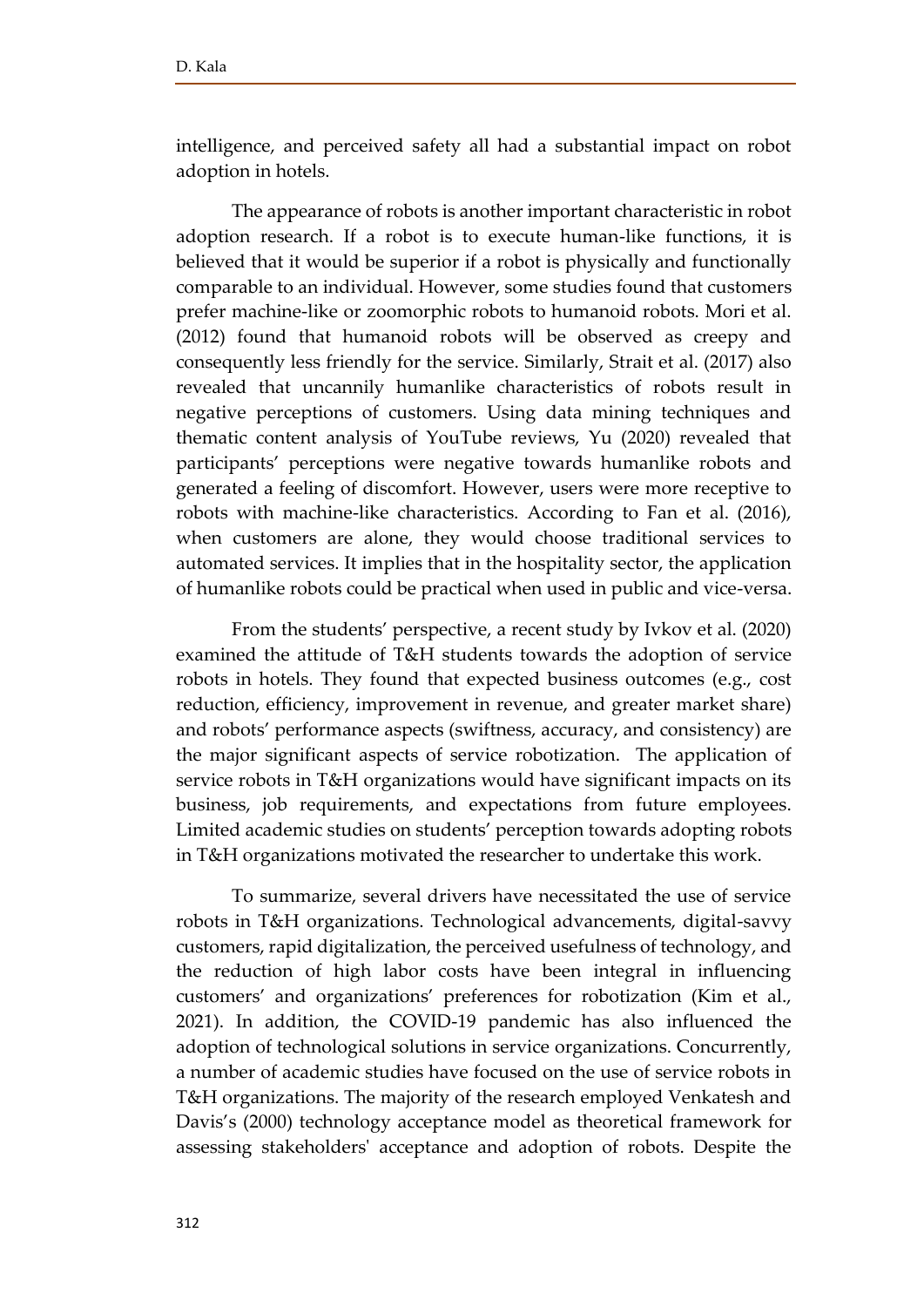intelligence, and perceived safety all had a substantial impact on robot adoption in hotels.

The appearance of robots is another important characteristic in robot adoption research. If a robot is to execute human-like functions, it is believed that it would be superior if a robot is physically and functionally comparable to an individual. However, some studies found that customers prefer machine-like or zoomorphic robots to humanoid robots. Mori et al. (2012) found that humanoid robots will be observed as creepy and consequently less friendly for the service. Similarly, Strait et al. (2017) also revealed that uncannily humanlike characteristics of robots result in negative perceptions of customers. Using data mining techniques and thematic content analysis of YouTube reviews, Yu (2020) revealed that participants' perceptions were negative towards humanlike robots and generated a feeling of discomfort. However, users were more receptive to robots with machine-like characteristics. According to Fan et al. (2016), when customers are alone, they would choose traditional services to automated services. It implies that in the hospitality sector, the application of humanlike robots could be practical when used in public and vice-versa.

From the students' perspective, a recent study by Ivkov et al. (2020) examined the attitude of T&H students towards the adoption of service robots in hotels. They found that expected business outcomes (e.g., cost reduction, efficiency, improvement in revenue, and greater market share) and robots' performance aspects (swiftness, accuracy, and consistency) are the major significant aspects of service robotization. The application of service robots in T&H organizations would have significant impacts on its business, job requirements, and expectations from future employees. Limited academic studies on students' perception towards adopting robots in T&H organizations motivated the researcher to undertake this work.

To summarize, several drivers have necessitated the use of service robots in T&H organizations. Technological advancements, digital-savvy customers, rapid digitalization, the perceived usefulness of technology, and the reduction of high labor costs have been integral in influencing customers' and organizations' preferences for robotization (Kim et al., 2021). In addition, the COVID-19 pandemic has also influenced the adoption of technological solutions in service organizations. Concurrently, a number of academic studies have focused on the use of service robots in T&H organizations. The majority of the research employed Venkatesh and Davis's (2000) technology acceptance model as theoretical framework for assessing stakeholders' acceptance and adoption of robots. Despite the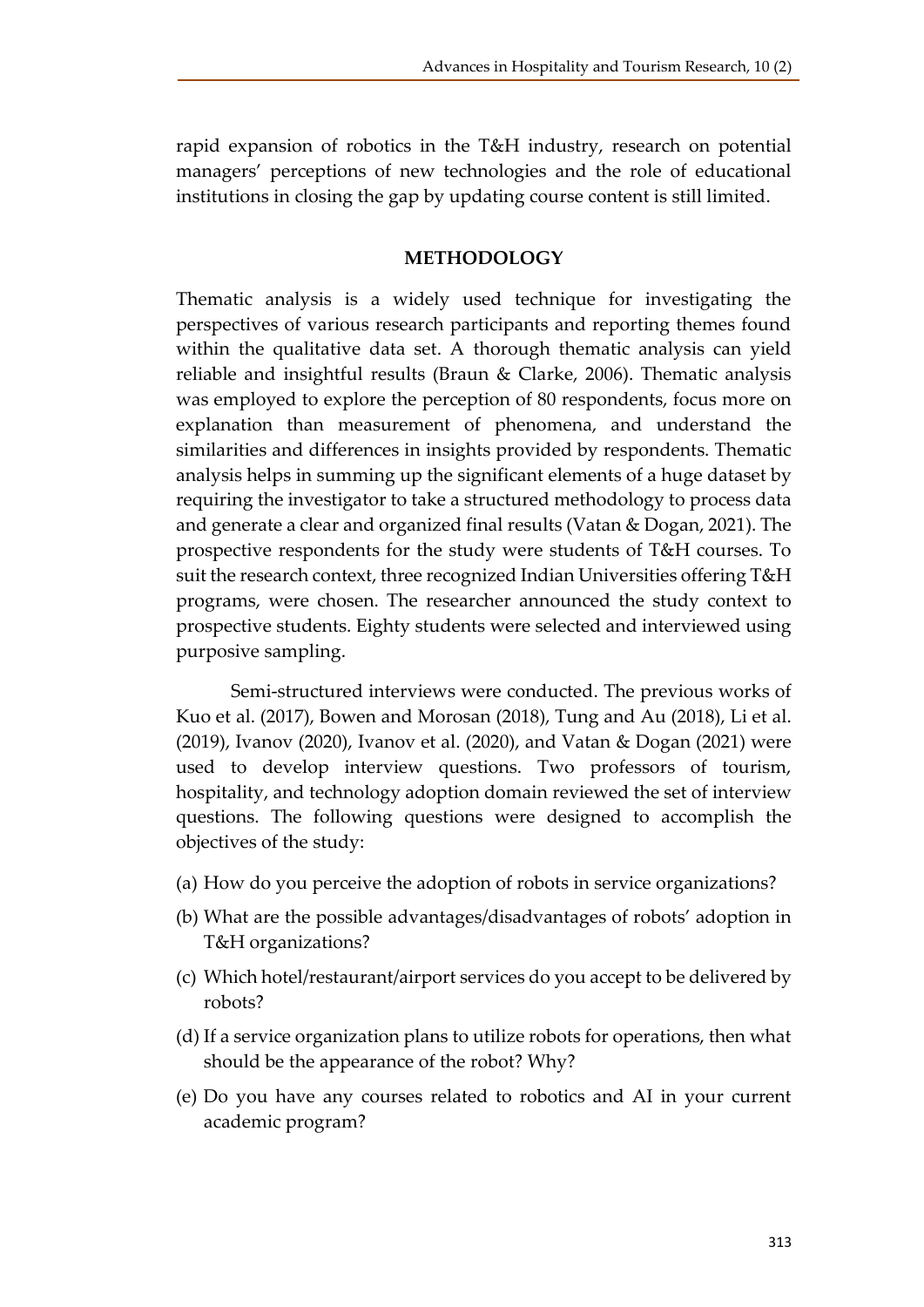rapid expansion of robotics in the T&H industry, research on potential managers' perceptions of new technologies and the role of educational institutions in closing the gap by updating course content is still limited.

#### **METHODOLOGY**

Thematic analysis is a widely used technique for investigating the perspectives of various research participants and reporting themes found within the qualitative data set. A thorough thematic analysis can yield reliable and insightful results (Braun & Clarke, 2006). Thematic analysis was employed to explore the perception of 80 respondents, focus more on explanation than measurement of phenomena, and understand the similarities and differences in insights provided by respondents. Thematic analysis helps in summing up the significant elements of a huge dataset by requiring the investigator to take a structured methodology to process data and generate a clear and organized final results (Vatan & Dogan, 2021). The prospective respondents for the study were students of T&H courses. To suit the research context, three recognized Indian Universities offering T&H programs, were chosen. The researcher announced the study context to prospective students. Eighty students were selected and interviewed using purposive sampling.

Semi-structured interviews were conducted. The previous works of Kuo et al. (2017), Bowen and Morosan (2018), Tung and Au (2018), Li et al. (2019), Ivanov (2020), Ivanov et al. (2020), and Vatan & Dogan (2021) were used to develop interview questions. Two professors of tourism, hospitality, and technology adoption domain reviewed the set of interview questions. The following questions were designed to accomplish the objectives of the study:

- (a) How do you perceive the adoption of robots in service organizations?
- (b) What are the possible advantages/disadvantages of robots' adoption in T&H organizations?
- (c) Which hotel/restaurant/airport services do you accept to be delivered by robots?
- (d) If a service organization plans to utilize robots for operations, then what should be the appearance of the robot? Why?
- (e) Do you have any courses related to robotics and AI in your current academic program?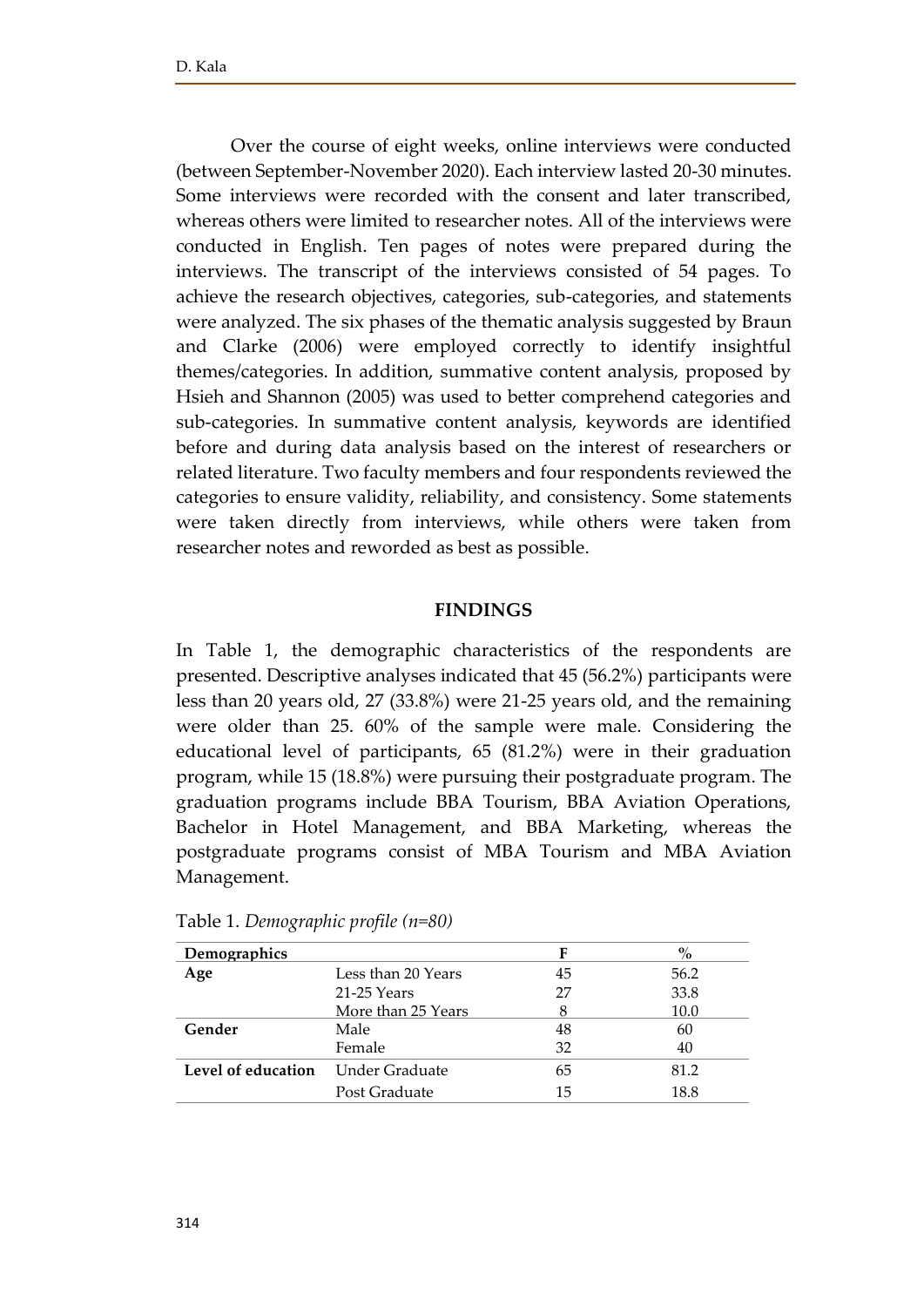Over the course of eight weeks, online interviews were conducted (between September-November 2020). Each interview lasted 20-30 minutes. Some interviews were recorded with the consent and later transcribed, whereas others were limited to researcher notes. All of the interviews were conducted in English. Ten pages of notes were prepared during the interviews. The transcript of the interviews consisted of 54 pages. To achieve the research objectives, categories, sub-categories, and statements were analyzed. The six phases of the thematic analysis suggested by Braun and Clarke (2006) were employed correctly to identify insightful themes/categories. In addition, summative content analysis, proposed by Hsieh and Shannon (2005) was used to better comprehend categories and sub-categories. In summative content analysis, keywords are identified before and during data analysis based on the interest of researchers or related literature. Two faculty members and four respondents reviewed the categories to ensure validity, reliability, and consistency. Some statements were taken directly from interviews, while others were taken from researcher notes and reworded as best as possible.

#### **FINDINGS**

In Table 1, the demographic characteristics of the respondents are presented. Descriptive analyses indicated that 45 (56.2%) participants were less than 20 years old, 27 (33.8%) were 21-25 years old, and the remaining were older than 25. 60% of the sample were male. Considering the educational level of participants, 65 (81.2%) were in their graduation program, while 15 (18.8%) were pursuing their postgraduate program. The graduation programs include BBA Tourism, BBA Aviation Operations, Bachelor in Hotel Management, and BBA Marketing, whereas the postgraduate programs consist of MBA Tourism and MBA Aviation Management.

| Demographics       |                    | F  | $\%$ |
|--------------------|--------------------|----|------|
| Age                | Less than 20 Years | 45 | 56.2 |
|                    | 21-25 Years        | 27 | 33.8 |
|                    | More than 25 Years |    | 10.0 |
| Gender             | Male               | 48 | 60   |
|                    | Female             | 32 | 40   |
| Level of education | Under Graduate     | 65 | 81.2 |
|                    | Post Graduate      | 15 | 18.8 |

Table 1. *Demographic profile (n=80)*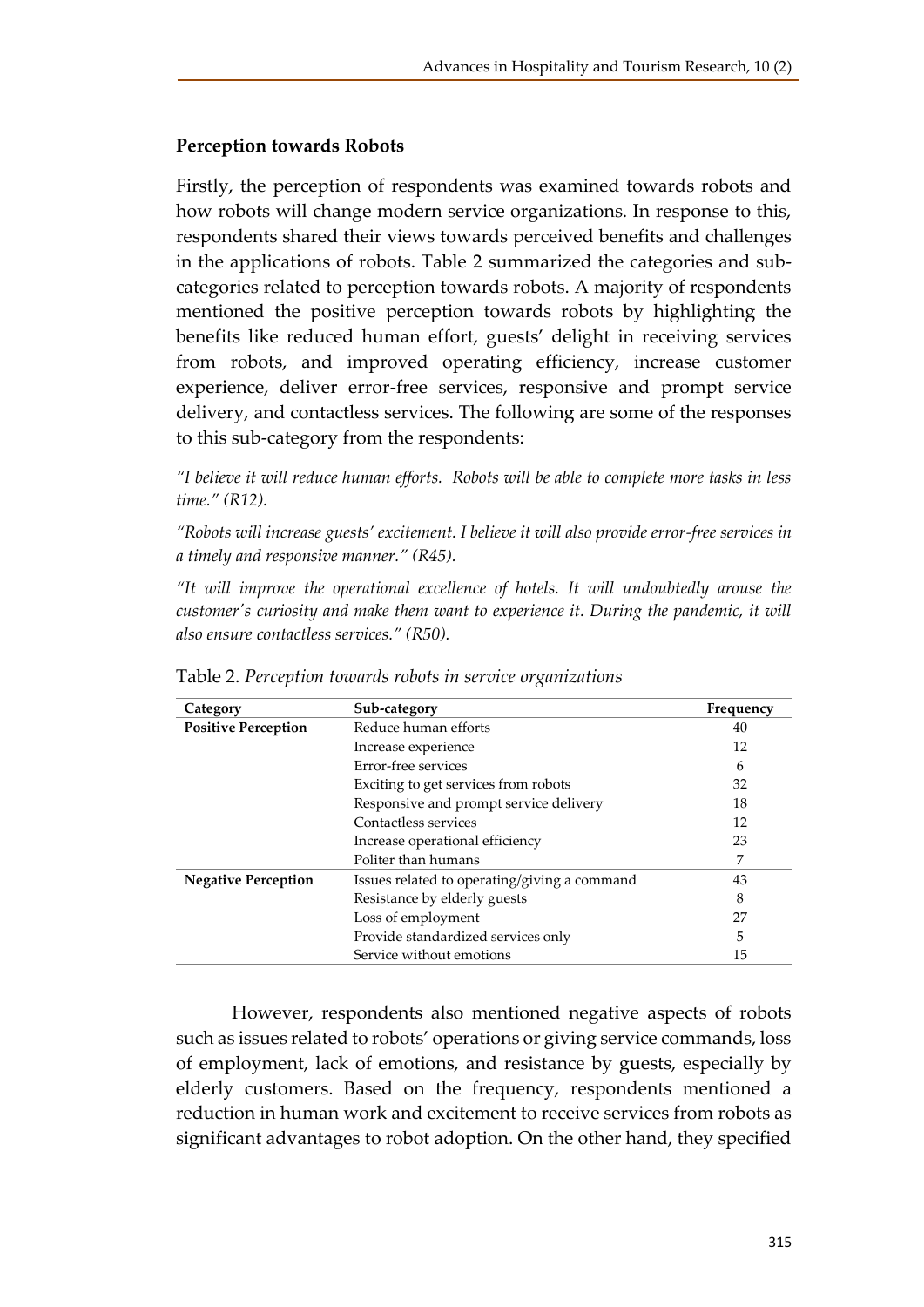## **Perception towards Robots**

Firstly, the perception of respondents was examined towards robots and how robots will change modern service organizations. In response to this, respondents shared their views towards perceived benefits and challenges in the applications of robots. Table 2 summarized the categories and subcategories related to perception towards robots. A majority of respondents mentioned the positive perception towards robots by highlighting the benefits like reduced human effort, guests' delight in receiving services from robots, and improved operating efficiency, increase customer experience, deliver error-free services, responsive and prompt service delivery, and contactless services. The following are some of the responses to this sub-category from the respondents:

*"I believe it will reduce human efforts. Robots will be able to complete more tasks in less time." (R12).* 

*"Robots will increase guests' excitement. I believe it will also provide error-free services in a timely and responsive manner." (R45).* 

*"It will improve the operational excellence of hotels. It will undoubtedly arouse the customer's curiosity and make them want to experience it. During the pandemic, it will also ensure contactless services." (R50).*

| Category                   | Sub-category                                 | Frequency |
|----------------------------|----------------------------------------------|-----------|
| <b>Positive Perception</b> | Reduce human efforts                         | 40        |
|                            | Increase experience                          | 12        |
|                            | Error-free services                          | 6         |
|                            | Exciting to get services from robots         | 32        |
|                            | Responsive and prompt service delivery       | 18        |
|                            | Contactless services                         | 12        |
|                            | Increase operational efficiency              | 23        |
|                            | Politer than humans                          | 7         |
| <b>Negative Perception</b> | Issues related to operating/giving a command | 43        |
|                            | Resistance by elderly guests                 | 8         |
|                            | Loss of employment                           | 27        |
|                            | Provide standardized services only           | 5         |
|                            | Service without emotions                     | 15        |

Table 2. *Perception towards robots in service organizations*

However, respondents also mentioned negative aspects of robots such as issues related to robots' operations or giving service commands, loss of employment, lack of emotions, and resistance by guests, especially by elderly customers. Based on the frequency, respondents mentioned a reduction in human work and excitement to receive services from robots as significant advantages to robot adoption. On the other hand, they specified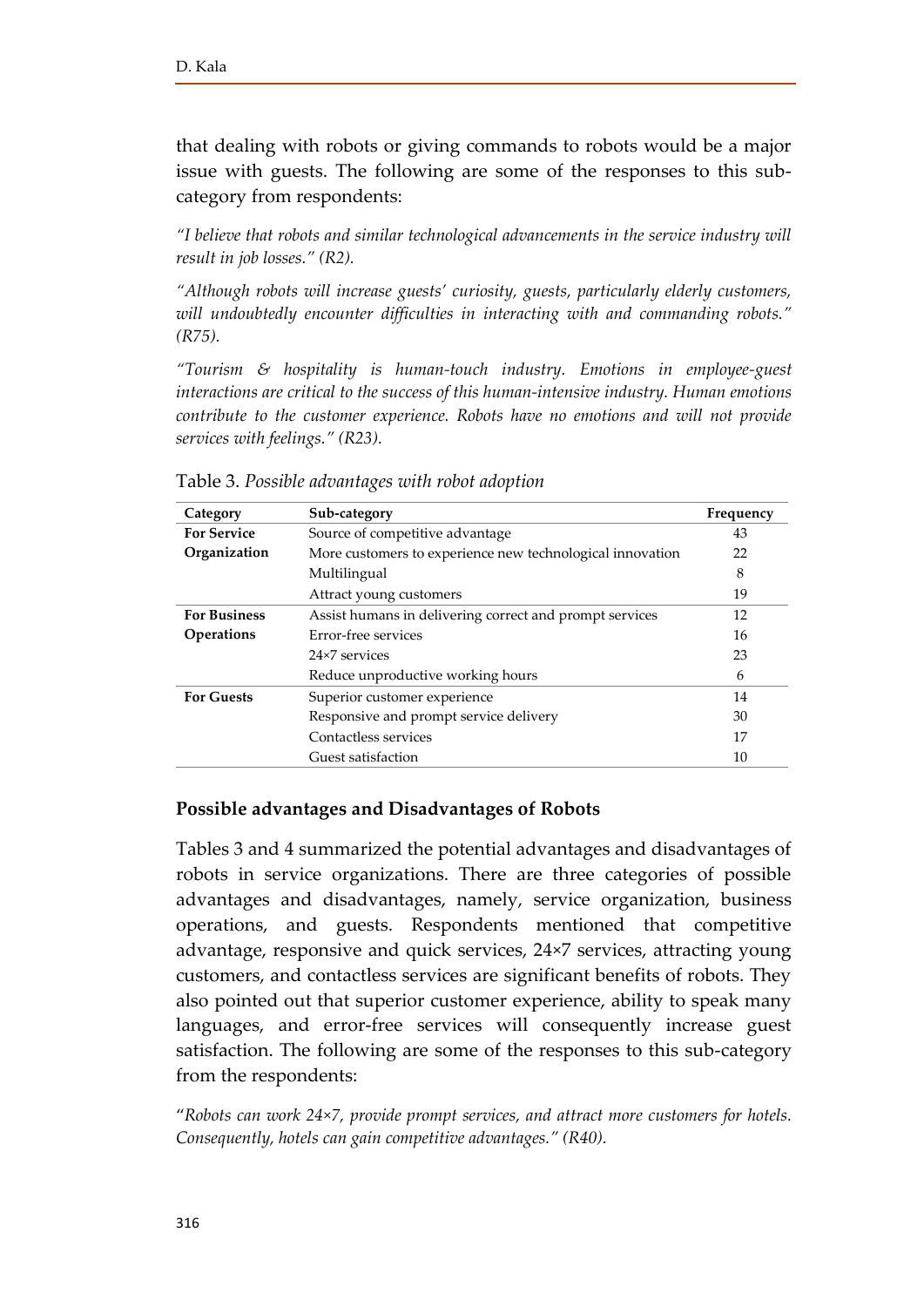that dealing with robots or giving commands to robots would be a major issue with guests. The following are some of the responses to this subcategory from respondents:

*"I believe that robots and similar technological advancements in the service industry will result in job losses." (R2).* 

*"Although robots will increase guests' curiosity, guests, particularly elderly customers, will undoubtedly encounter difficulties in interacting with and commanding robots." (R75).* 

*"Tourism & hospitality is human-touch industry. Emotions in employee-guest interactions are critical to the success of this human-intensive industry. Human emotions contribute to the customer experience. Robots have no emotions and will not provide services with feelings." (R23).*

| Category            | Sub-category                                              | Frequency |
|---------------------|-----------------------------------------------------------|-----------|
| <b>For Service</b>  | Source of competitive advantage                           | 43        |
| Organization        | More customers to experience new technological innovation | 22        |
|                     | Multilingual                                              | 8         |
|                     | Attract young customers                                   | 19        |
| <b>For Business</b> | Assist humans in delivering correct and prompt services   | 12        |
| <b>Operations</b>   | Error-free services                                       | 16        |
|                     | 24×7 services                                             | 23        |
|                     | Reduce unproductive working hours                         | 6         |
| <b>For Guests</b>   | Superior customer experience                              | 14        |
|                     | Responsive and prompt service delivery                    | 30        |
|                     | Contactless services                                      | 17        |
|                     | Guest satisfaction                                        | 10        |

Table 3. *Possible advantages with robot adoption*

## **Possible advantages and Disadvantages of Robots**

Tables 3 and 4 summarized the potential advantages and disadvantages of robots in service organizations. There are three categories of possible advantages and disadvantages, namely, service organization, business operations, and guests. Respondents mentioned that competitive advantage, responsive and quick services, 24×7 services, attracting young customers, and contactless services are significant benefits of robots. They also pointed out that superior customer experience, ability to speak many languages, and error-free services will consequently increase guest satisfaction. The following are some of the responses to this sub-category from the respondents:

"*Robots can work 24×7, provide prompt services, and attract more customers for hotels. Consequently, hotels can gain competitive advantages." (R40).*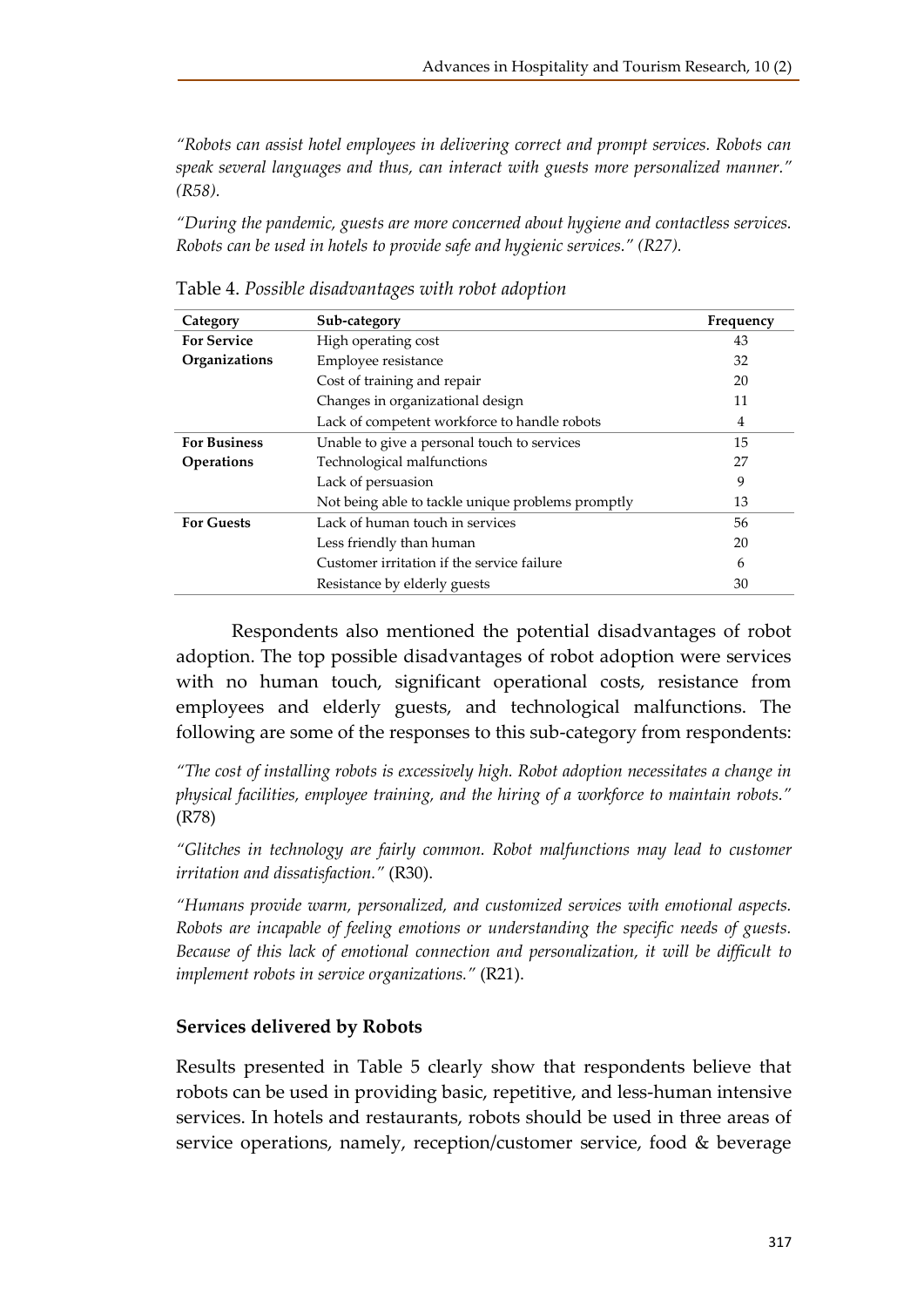*"Robots can assist hotel employees in delivering correct and prompt services. Robots can speak several languages and thus, can interact with guests more personalized manner." (R58).* 

*"During the pandemic, guests are more concerned about hygiene and contactless services. Robots can be used in hotels to provide safe and hygienic services." (R27).*

| Category            | Sub-category                                      | Frequency |
|---------------------|---------------------------------------------------|-----------|
| <b>For Service</b>  | High operating cost                               | 43        |
| Organizations       | Employee resistance                               | 32        |
|                     | Cost of training and repair                       | 20        |
|                     | Changes in organizational design                  | 11        |
|                     | Lack of competent workforce to handle robots      | 4         |
| <b>For Business</b> | Unable to give a personal touch to services       | 15        |
| <b>Operations</b>   | Technological malfunctions                        | 27        |
|                     | Lack of persuasion                                | 9         |
|                     | Not being able to tackle unique problems promptly | 13        |
| <b>For Guests</b>   | Lack of human touch in services                   | 56        |
|                     | Less friendly than human                          | 20        |
|                     | Customer irritation if the service failure        | 6         |
|                     | Resistance by elderly guests                      | 30        |

Table 4. *Possible disadvantages with robot adoption*

Respondents also mentioned the potential disadvantages of robot adoption. The top possible disadvantages of robot adoption were services with no human touch, significant operational costs, resistance from employees and elderly guests, and technological malfunctions. The following are some of the responses to this sub-category from respondents:

*"The cost of installing robots is excessively high. Robot adoption necessitates a change in physical facilities, employee training, and the hiring of a workforce to maintain robots."*  (R78)

*"Glitches in technology are fairly common. Robot malfunctions may lead to customer irritation and dissatisfaction."* (R30).

*"Humans provide warm, personalized, and customized services with emotional aspects. Robots are incapable of feeling emotions or understanding the specific needs of guests. Because of this lack of emotional connection and personalization, it will be difficult to implement robots in service organizations."* (R21).

## **Services delivered by Robots**

Results presented in Table 5 clearly show that respondents believe that robots can be used in providing basic, repetitive, and less-human intensive services. In hotels and restaurants, robots should be used in three areas of service operations, namely, reception/customer service, food & beverage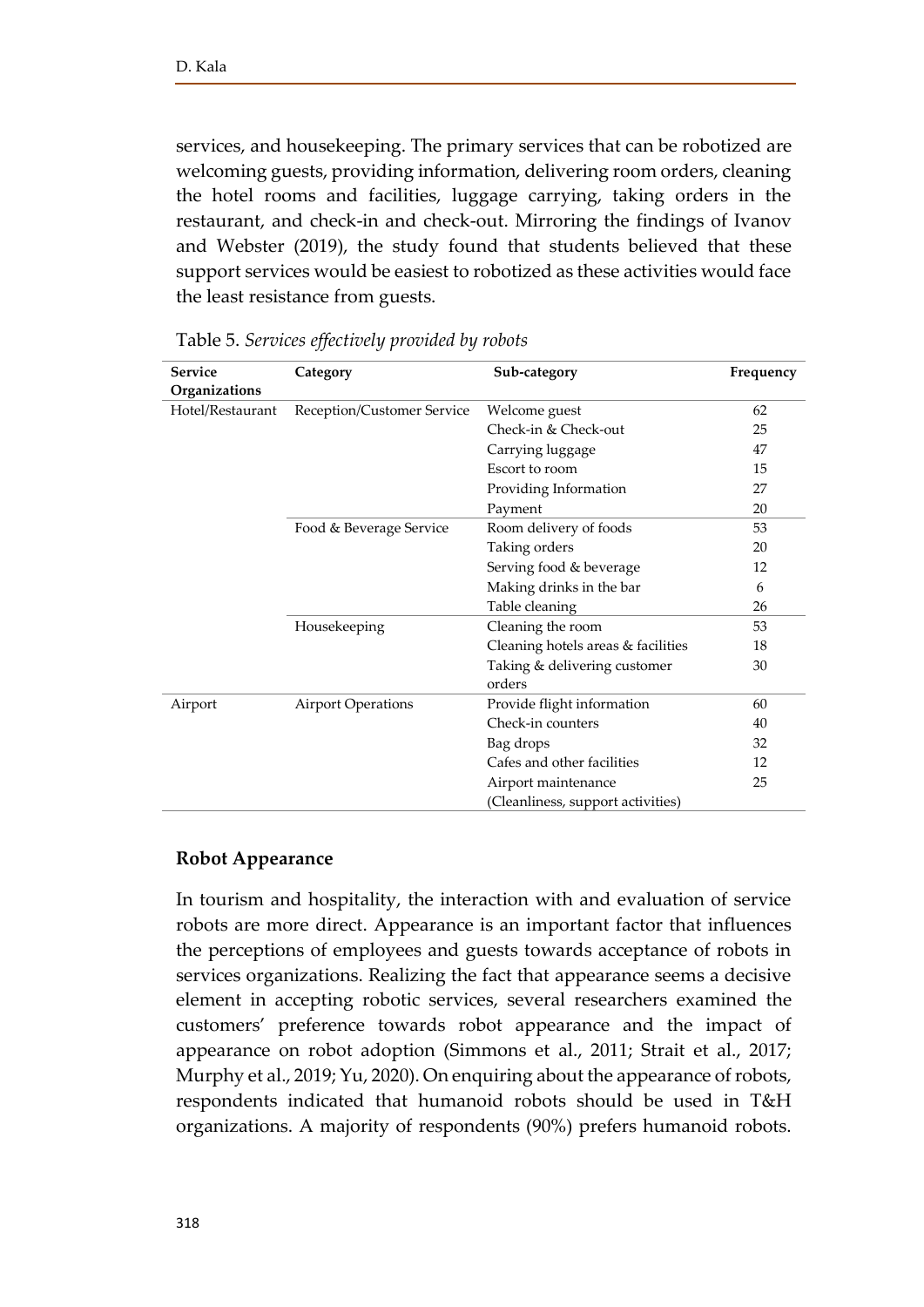services, and housekeeping. The primary services that can be robotized are welcoming guests, providing information, delivering room orders, cleaning the hotel rooms and facilities, luggage carrying, taking orders in the restaurant, and check-in and check-out. Mirroring the findings of Ivanov and Webster (2019), the study found that students believed that these support services would be easiest to robotized as these activities would face the least resistance from guests.

| <b>Service</b>   | Category                   | Sub-category                       | Frequency |
|------------------|----------------------------|------------------------------------|-----------|
| Organizations    |                            |                                    |           |
| Hotel/Restaurant | Reception/Customer Service | Welcome guest                      | 62        |
|                  |                            | Check-in & Check-out               | 25        |
|                  |                            | Carrying luggage                   | 47        |
|                  |                            | Escort to room                     | 15        |
|                  |                            | Providing Information              | 27        |
|                  |                            | Payment                            | 20        |
|                  | Food & Beverage Service    | Room delivery of foods             | 53        |
|                  |                            | Taking orders                      | 20        |
|                  |                            | Serving food & beverage            | 12        |
|                  |                            | Making drinks in the bar           | 6         |
|                  |                            | Table cleaning                     | 26        |
|                  | Housekeeping               | Cleaning the room                  | 53        |
|                  |                            | Cleaning hotels areas & facilities | 18        |
|                  |                            | Taking & delivering customer       | 30        |
|                  |                            | orders                             |           |
| Airport          | <b>Airport Operations</b>  | Provide flight information         | 60        |
|                  |                            | Check-in counters                  | 40        |
|                  |                            | Bag drops                          | 32        |
|                  |                            | Cafes and other facilities         | 12        |
|                  |                            | Airport maintenance                | 25        |
|                  |                            | (Cleanliness, support activities)  |           |

|  |  |  | Table 5. Services effectively provided by robots |
|--|--|--|--------------------------------------------------|
|--|--|--|--------------------------------------------------|

## **Robot Appearance**

In tourism and hospitality, the interaction with and evaluation of service robots are more direct. Appearance is an important factor that influences the perceptions of employees and guests towards acceptance of robots in services organizations. Realizing the fact that appearance seems a decisive element in accepting robotic services, several researchers examined the customers' preference towards robot appearance and the impact of appearance on robot adoption (Simmons et al., 2011; Strait et al., 2017; Murphy et al., 2019; Yu, 2020). On enquiring about the appearance of robots, respondents indicated that humanoid robots should be used in T&H organizations. A majority of respondents (90%) prefers humanoid robots.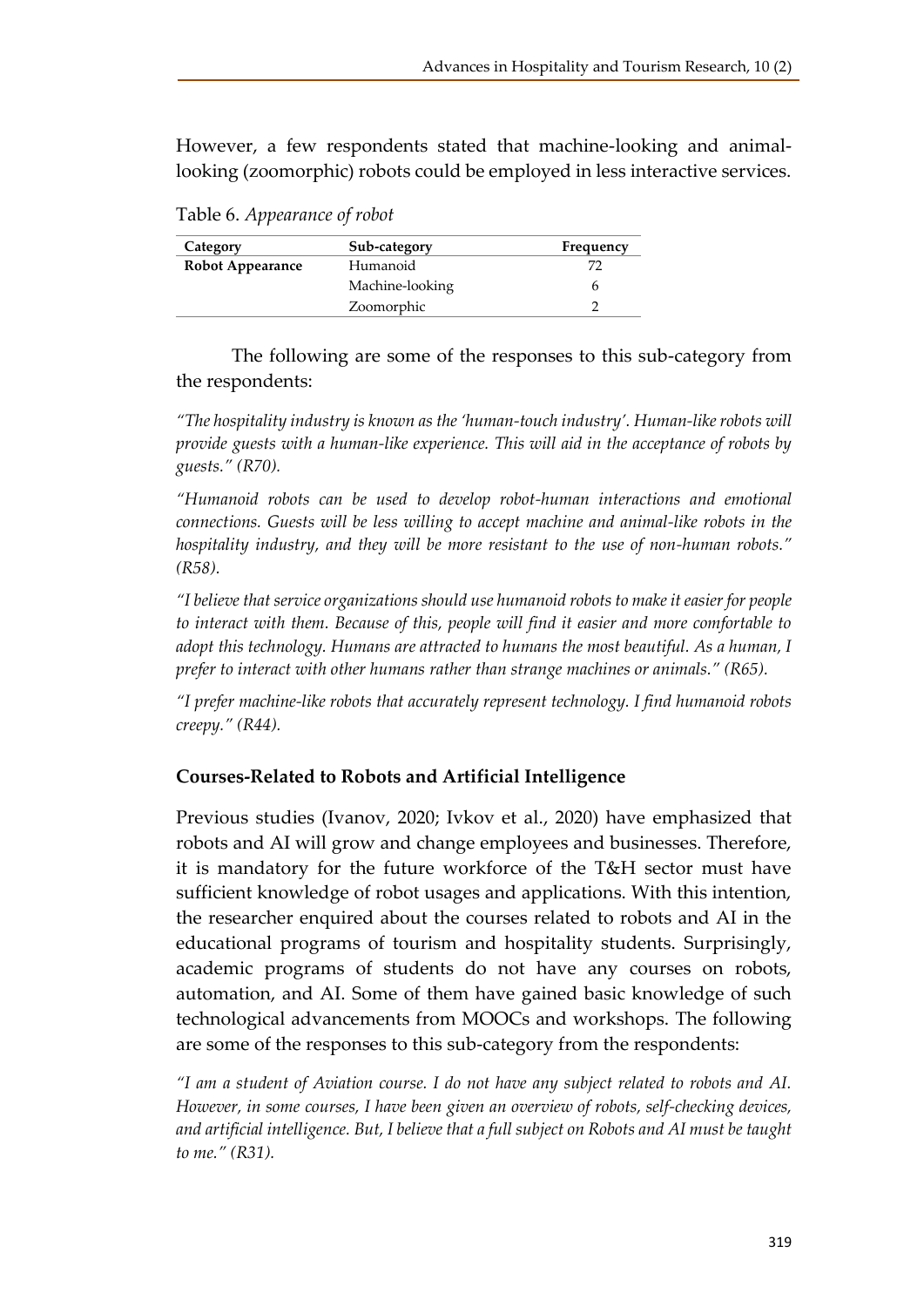However, a few respondents stated that machine-looking and animallooking (zoomorphic) robots could be employed in less interactive services.

| Category                | Sub-category    | Frequency |
|-------------------------|-----------------|-----------|
| <b>Robot Appearance</b> | Humanoid        |           |
|                         | Machine-looking |           |
|                         | Zoomorphic      |           |

Table 6. *Appearance of robot*

The following are some of the responses to this sub-category from the respondents:

*"The hospitality industry is known as the 'human-touch industry'. Human-like robots will provide guests with a human-like experience. This will aid in the acceptance of robots by guests." (R70).* 

*"Humanoid robots can be used to develop robot-human interactions and emotional connections. Guests will be less willing to accept machine and animal-like robots in the hospitality industry, and they will be more resistant to the use of non-human robots." (R58).* 

*"I believe that service organizations should use humanoid robots to make it easier for people to interact with them. Because of this, people will find it easier and more comfortable to adopt this technology. Humans are attracted to humans the most beautiful. As a human, I prefer to interact with other humans rather than strange machines or animals." (R65).* 

*"I prefer machine-like robots that accurately represent technology. I find humanoid robots creepy." (R44).*

## **Courses-Related to Robots and Artificial Intelligence**

Previous studies (Ivanov, 2020; Ivkov et al., 2020) have emphasized that robots and AI will grow and change employees and businesses. Therefore, it is mandatory for the future workforce of the T&H sector must have sufficient knowledge of robot usages and applications. With this intention, the researcher enquired about the courses related to robots and AI in the educational programs of tourism and hospitality students. Surprisingly, academic programs of students do not have any courses on robots, automation, and AI. Some of them have gained basic knowledge of such technological advancements from MOOCs and workshops. The following are some of the responses to this sub-category from the respondents:

*"I am a student of Aviation course. I do not have any subject related to robots and AI. However, in some courses, I have been given an overview of robots, self-checking devices, and artificial intelligence. But, I believe that a full subject on Robots and AI must be taught to me." (R31).*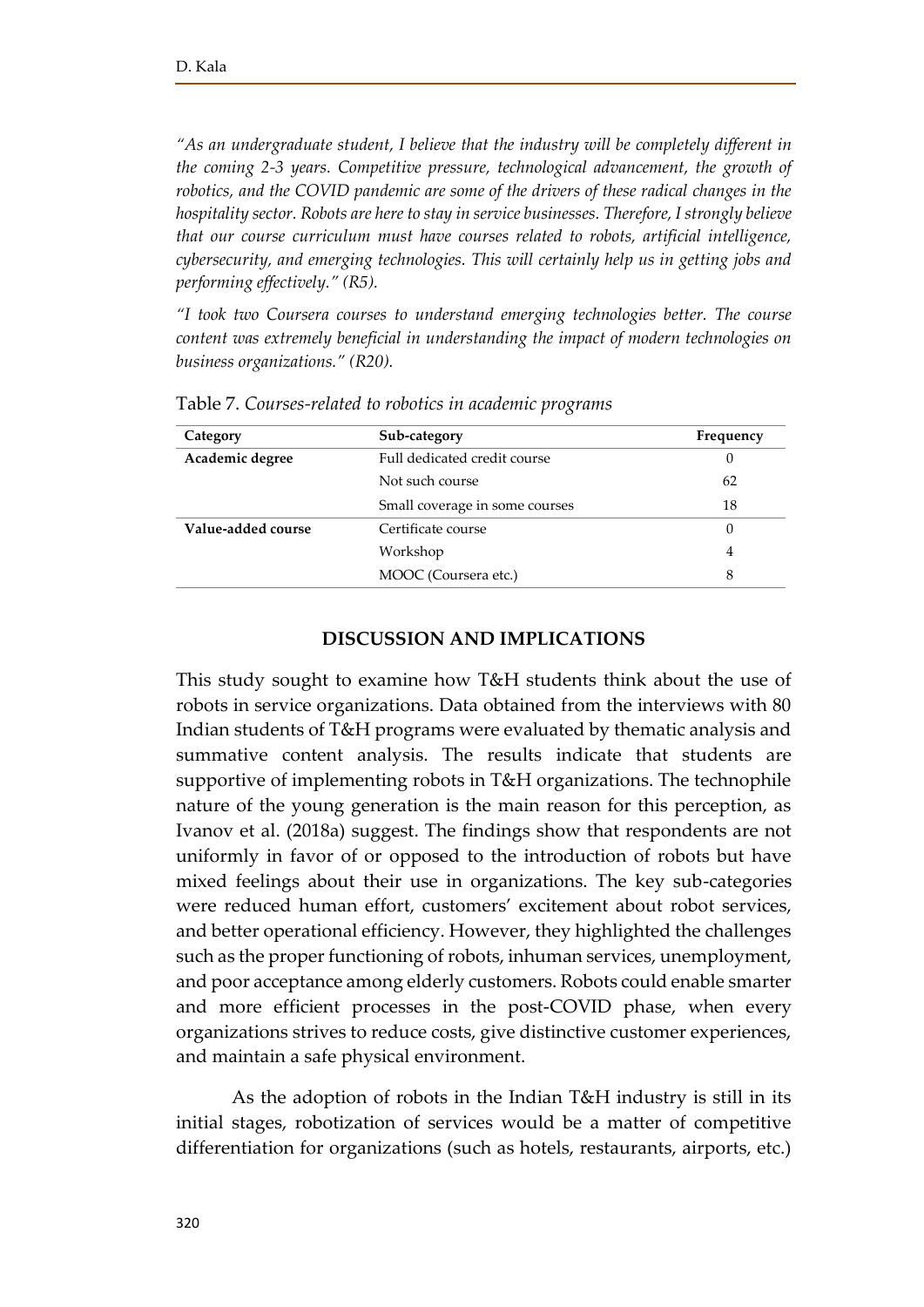*"As an undergraduate student, I believe that the industry will be completely different in the coming 2-3 years. Competitive pressure, technological advancement, the growth of robotics, and the COVID pandemic are some of the drivers of these radical changes in the hospitality sector. Robots are here to stay in service businesses. Therefore, I strongly believe that our course curriculum must have courses related to robots, artificial intelligence, cybersecurity, and emerging technologies. This will certainly help us in getting jobs and performing effectively." (R5).* 

*"I took two Coursera courses to understand emerging technologies better. The course content was extremely beneficial in understanding the impact of modern technologies on business organizations." (R20).*

| Category           | Sub-category                   | Frequency |
|--------------------|--------------------------------|-----------|
| Academic degree    | Full dedicated credit course   | U         |
|                    | Not such course                | 62        |
|                    | Small coverage in some courses | 18        |
| Value-added course | Certificate course             | 0         |
|                    | Workshop                       | 4         |
|                    | MOOC (Coursera etc.)           | 8         |

Table 7. *Courses-related to robotics in academic programs*

## **DISCUSSION AND IMPLICATIONS**

This study sought to examine how T&H students think about the use of robots in service organizations. Data obtained from the interviews with 80 Indian students of T&H programs were evaluated by thematic analysis and summative content analysis. The results indicate that students are supportive of implementing robots in T&H organizations. The technophile nature of the young generation is the main reason for this perception, as Ivanov et al. (2018a) suggest. The findings show that respondents are not uniformly in favor of or opposed to the introduction of robots but have mixed feelings about their use in organizations. The key sub-categories were reduced human effort, customers' excitement about robot services, and better operational efficiency. However, they highlighted the challenges such as the proper functioning of robots, inhuman services, unemployment, and poor acceptance among elderly customers. Robots could enable smarter and more efficient processes in the post-COVID phase, when every organizations strives to reduce costs, give distinctive customer experiences, and maintain a safe physical environment.

As the adoption of robots in the Indian T&H industry is still in its initial stages, robotization of services would be a matter of competitive differentiation for organizations (such as hotels, restaurants, airports, etc.)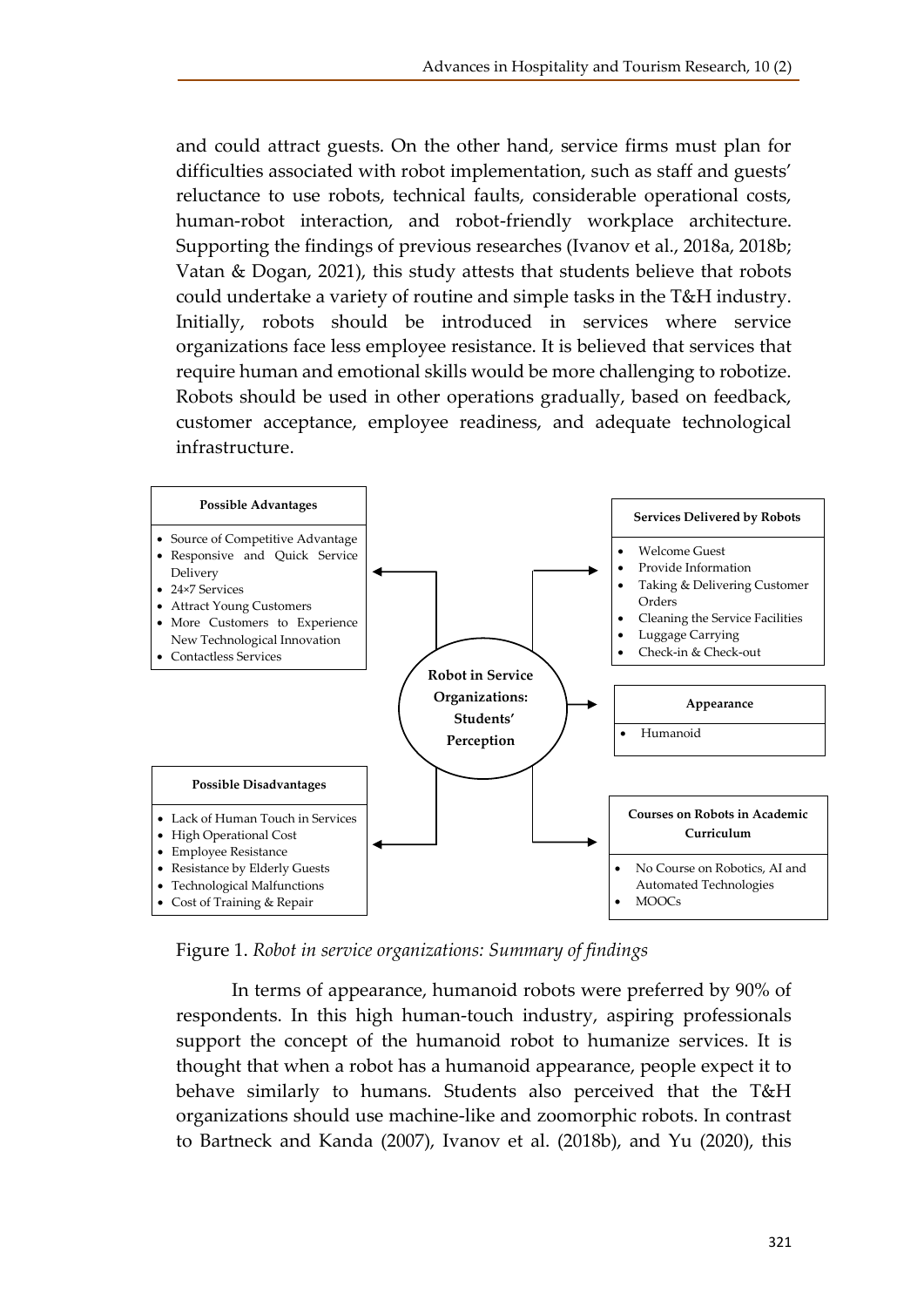and could attract guests. On the other hand, service firms must plan for difficulties associated with robot implementation, such as staff and guests' reluctance to use robots, technical faults, considerable operational costs, human-robot interaction, and robot-friendly workplace architecture. Supporting the findings of previous researches (Ivanov et al., 2018a, 2018b; Vatan & Dogan, 2021), this study attests that students believe that robots could undertake a variety of routine and simple tasks in the T&H industry. Initially, robots should be introduced in services where service organizations face less employee resistance. It is believed that services that require human and emotional skills would be more challenging to robotize. Robots should be used in other operations gradually, based on feedback, customer acceptance, employee readiness, and adequate technological infrastructure.



Figure 1. *Robot in service organizations: Summary of findings*

In terms of appearance, humanoid robots were preferred by 90% of respondents. In this high human-touch industry, aspiring professionals support the concept of the humanoid robot to humanize services. It is thought that when a robot has a humanoid appearance, people expect it to behave similarly to humans. Students also perceived that the T&H organizations should use machine-like and zoomorphic robots. In contrast to Bartneck and Kanda (2007), Ivanov et al. (2018b), and Yu (2020), this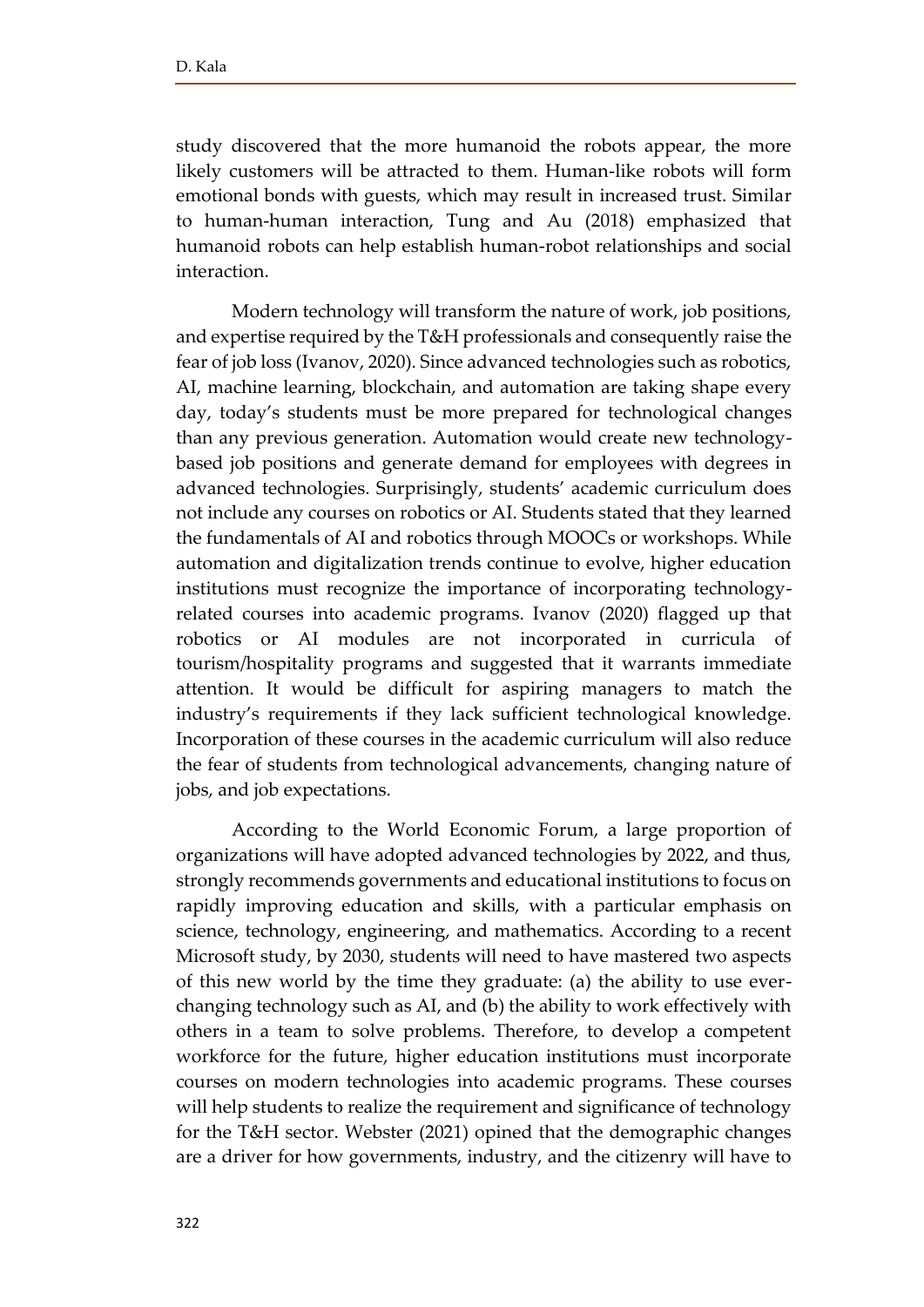study discovered that the more humanoid the robots appear, the more likely customers will be attracted to them. Human-like robots will form emotional bonds with guests, which may result in increased trust. Similar to human-human interaction, Tung and Au (2018) emphasized that humanoid robots can help establish human-robot relationships and social interaction.

Modern technology will transform the nature of work, job positions, and expertise required by the T&H professionals and consequently raise the fear of job loss (Ivanov, 2020). Since advanced technologies such as robotics, AI, machine learning, blockchain, and automation are taking shape every day, today's students must be more prepared for technological changes than any previous generation. Automation would create new technologybased job positions and generate demand for employees with degrees in advanced technologies. Surprisingly, students' academic curriculum does not include any courses on robotics or AI. Students stated that they learned the fundamentals of AI and robotics through MOOCs or workshops. While automation and digitalization trends continue to evolve, higher education institutions must recognize the importance of incorporating technologyrelated courses into academic programs. Ivanov (2020) flagged up that robotics or AI modules are not incorporated in curricula of tourism/hospitality programs and suggested that it warrants immediate attention. It would be difficult for aspiring managers to match the industry's requirements if they lack sufficient technological knowledge. Incorporation of these courses in the academic curriculum will also reduce the fear of students from technological advancements, changing nature of jobs, and job expectations.

According to the World Economic Forum, a large proportion of organizations will have adopted advanced technologies by 2022, and thus, strongly recommends governments and educational institutions to focus on rapidly improving education and skills, with a particular emphasis on science, technology, engineering, and mathematics. According to a recent Microsoft study, by 2030, students will need to have mastered two aspects of this new world by the time they graduate: (a) the ability to use everchanging technology such as AI, and (b) the ability to work effectively with others in a team to solve problems. Therefore, to develop a competent workforce for the future, higher education institutions must incorporate courses on modern technologies into academic programs. These courses will help students to realize the requirement and significance of technology for the T&H sector. Webster (2021) opined that the demographic changes are a driver for how governments, industry, and the citizenry will have to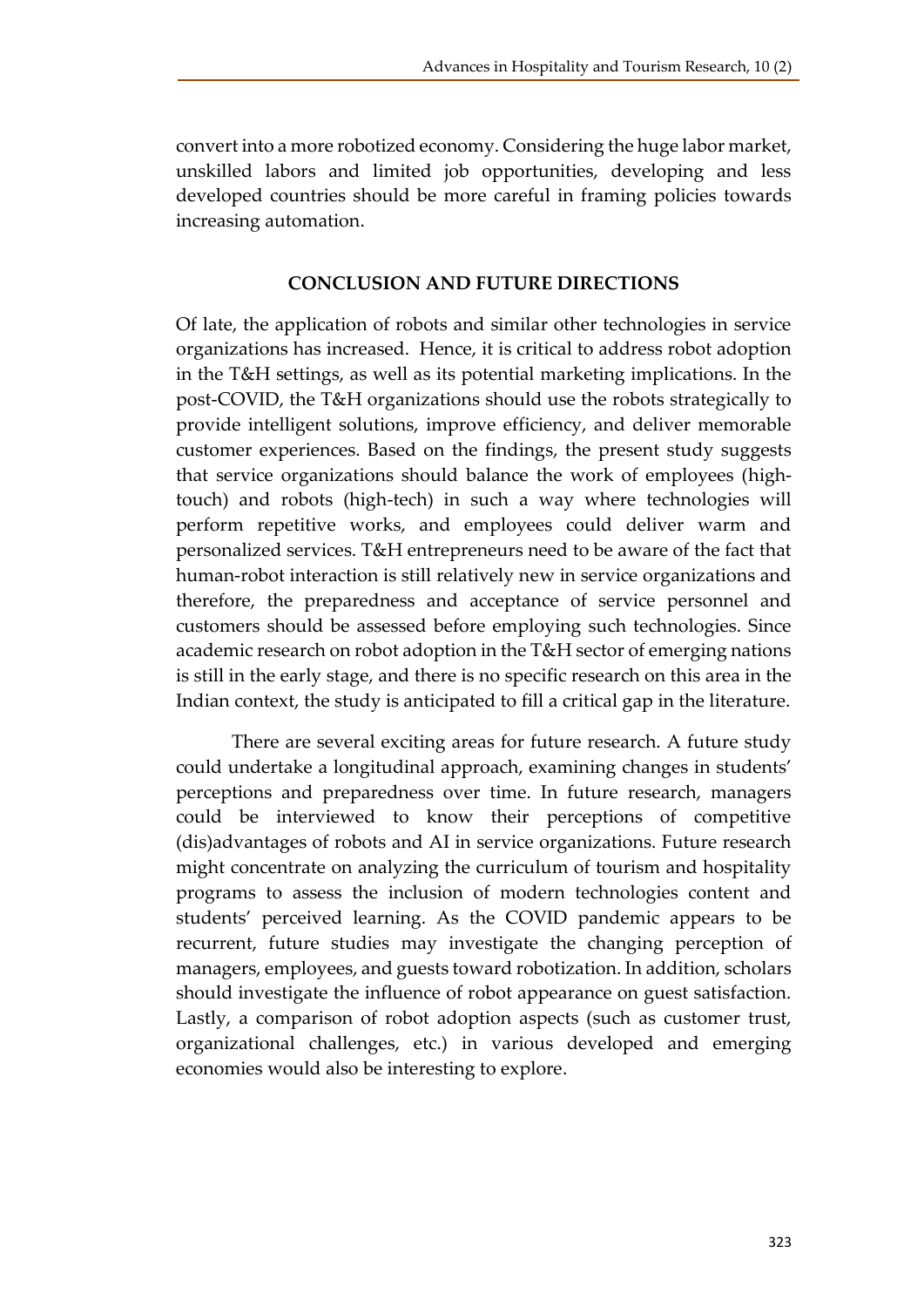convert into a more robotized economy. Considering the huge labor market, unskilled labors and limited job opportunities, developing and less developed countries should be more careful in framing policies towards increasing automation.

#### **CONCLUSION AND FUTURE DIRECTIONS**

Of late, the application of robots and similar other technologies in service organizations has increased. Hence, it is critical to address robot adoption in the T&H settings, as well as its potential marketing implications. In the post-COVID, the T&H organizations should use the robots strategically to provide intelligent solutions, improve efficiency, and deliver memorable customer experiences. Based on the findings, the present study suggests that service organizations should balance the work of employees (hightouch) and robots (high-tech) in such a way where technologies will perform repetitive works, and employees could deliver warm and personalized services. T&H entrepreneurs need to be aware of the fact that human-robot interaction is still relatively new in service organizations and therefore, the preparedness and acceptance of service personnel and customers should be assessed before employing such technologies. Since academic research on robot adoption in the T&H sector of emerging nations is still in the early stage, and there is no specific research on this area in the Indian context, the study is anticipated to fill a critical gap in the literature.

There are several exciting areas for future research. A future study could undertake a longitudinal approach, examining changes in students' perceptions and preparedness over time. In future research, managers could be interviewed to know their perceptions of competitive (dis)advantages of robots and AI in service organizations. Future research might concentrate on analyzing the curriculum of tourism and hospitality programs to assess the inclusion of modern technologies content and students' perceived learning. As the COVID pandemic appears to be recurrent, future studies may investigate the changing perception of managers, employees, and guests toward robotization. In addition, scholars should investigate the influence of robot appearance on guest satisfaction. Lastly, a comparison of robot adoption aspects (such as customer trust, organizational challenges, etc.) in various developed and emerging economies would also be interesting to explore.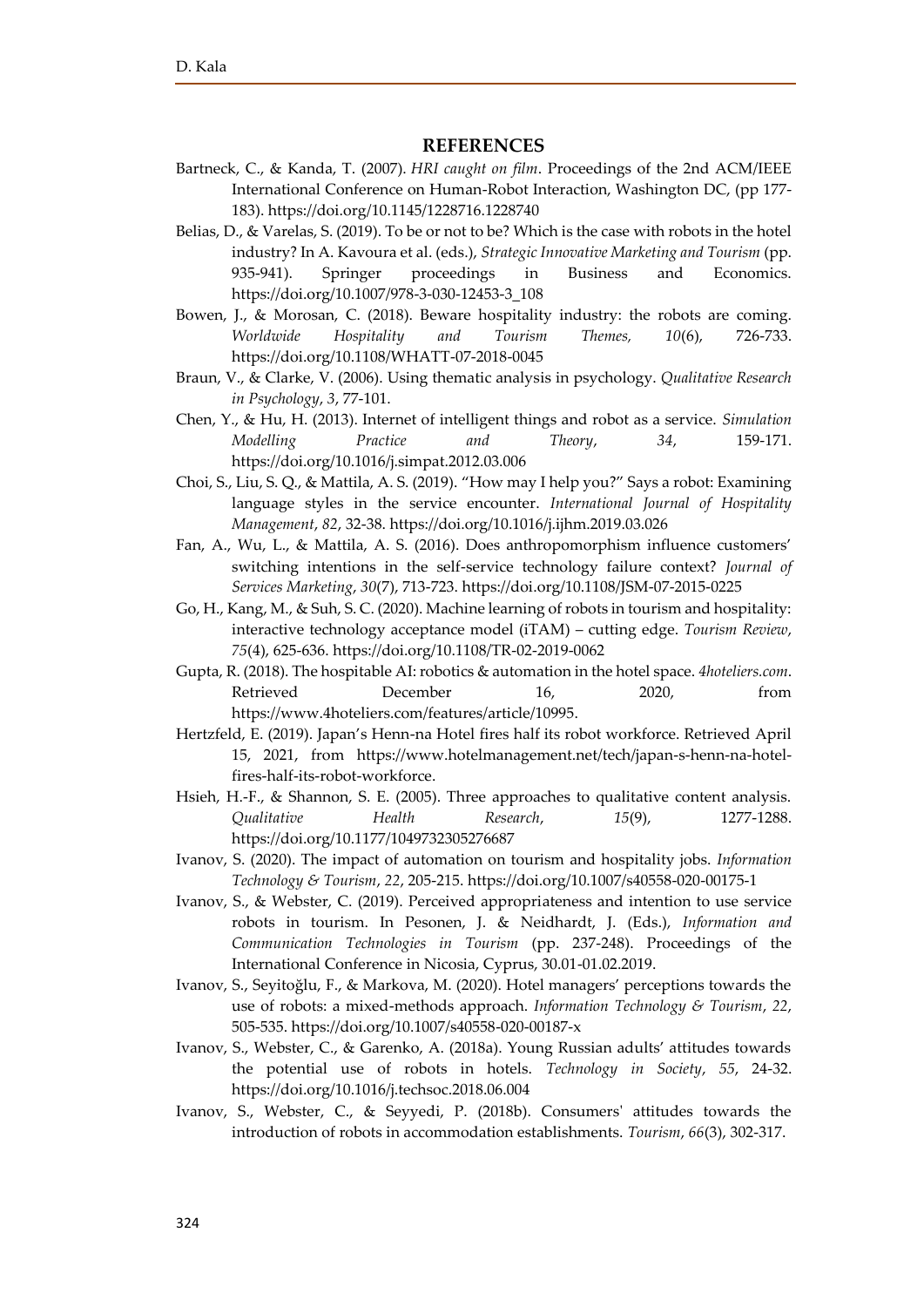#### **REFERENCES**

- Bartneck, C., & Kanda, T. (2007). *HRI caught on film*. Proceedings of the 2nd ACM/IEEE International Conference on Human-Robot Interaction, Washington DC, (pp 177- 183). https://doi.org[/10.1145/1228716.1228740](http://dx.doi.org/10.1145/1228716.1228740)
- Belias, D., & Varelas, S. (2019). To be or not to be? Which is the case with robots in the hotel industry? In A. Kavoura et al. (eds.), *Strategic Innovative Marketing and Tourism* (pp. 935-941). Springer proceedings in Business and Economics. [https://doi.org/10.1007/978-3-030-12453-3\\_108](https://doi.org/10.1007/978-3-030-12453-3_108)
- Bowen, J., & Morosan, C. (2018). Beware hospitality industry: the robots are coming. *Worldwide Hospitality and Tourism Themes, 10*(6), 726-733. <https://doi.org/10.1108/WHATT-07-2018-0045>
- Braun, V., & Clarke, V. (2006). Using thematic analysis in psychology. *Qualitative Research in Psychology*, *3*, 77-101.
- Chen, Y., & Hu, H. (2013). Internet of intelligent things and robot as a service. *Simulation Modelling Practice and Theory*, *34*, 159-171. <https://doi.org/10.1016/j.simpat.2012.03.006>
- Choi, S., Liu, S. Q., & Mattila, A. S. (2019). "How may I help you?" Says a robot: Examining language styles in the service encounter. *International Journal of Hospitality Management*, *82*, 32-38. <https://doi.org/10.1016/j.ijhm.2019.03.026>
- Fan, A., Wu, L., & Mattila, A. S. (2016). Does anthropomorphism influence customers' switching intentions in the self-service technology failure context? *Journal of Services Marketing*, *30*(7), 713-723[. https://doi.org/10.1108/JSM-07-2015-0225](https://doi.org/10.1108/JSM-07-2015-0225)
- Go, H., Kang, M., & Suh, S. C. (2020). Machine learning of robots in tourism and hospitality: interactive technology acceptance model (iTAM) – cutting edge. *Tourism Review*, *75*(4), 625-636. <https://doi.org/10.1108/TR-02-2019-0062>
- Gupta, R. (2018). The hospitable AI: robotics & automation in the hotel space. *4hoteliers.com*. Retrieved December 16, 2020, from [https://www.4hoteliers.com/features/article/10995.](https://www.4hoteliers.com/features/article/10995)
- Hertzfeld, E. (2019). Japan's Henn-na Hotel fires half its robot workforce. Retrieved April 15, 2021, from [https://www.hotelmanagement.net/tech/japan-s-henn-na-hotel](https://www.hotelmanagement.net/tech/japan-s-henn-na-hotel-fires-half-its-robot-workforce)[fires-half-its-robot-workforce.](https://www.hotelmanagement.net/tech/japan-s-henn-na-hotel-fires-half-its-robot-workforce)
- Hsieh, H.-F., & Shannon, S. E. (2005). Three approaches to qualitative content analysis. *Qualitative Health Research*, *15*(9), 1277-1288. <https://doi.org/10.1177/1049732305276687>
- Ivanov, S. (2020). The impact of automation on tourism and hospitality jobs. *Information Technology & Tourism*, *22*, 205-215.<https://doi.org/10.1007/s40558-020-00175-1>
- Ivanov, S., & Webster, C. (2019). Perceived appropriateness and intention to use service robots in tourism. In Pesonen, J. & Neidhardt, J. (Eds.), *Information and Communication Technologies in Tourism* (pp. 237-248). Proceedings of the International Conference in Nicosia, Cyprus, 30.01-01.02.2019.
- Ivanov, S., Seyitoğlu, F., & Markova, M. (2020). Hotel managers' perceptions towards the use of robots: a mixed-methods approach. *Information Technology & Tourism*, *22*, 505-535[. https://doi.org/10.1007/s40558-020-00187-x](https://doi.org/10.1007/s40558-020-00187-x)
- Ivanov, S., Webster, C., & Garenko, A. (2018a). Young Russian adults' attitudes towards the potential use of robots in hotels. *Technology in Society*, *55*, 24-32. <https://doi.org/10.1016/j.techsoc.2018.06.004>
- Ivanov, S., Webster, C., & Seyyedi, P. (2018b). Consumers' attitudes towards the introduction of robots in accommodation establishments. *Tourism*, *66*(3), 302-317.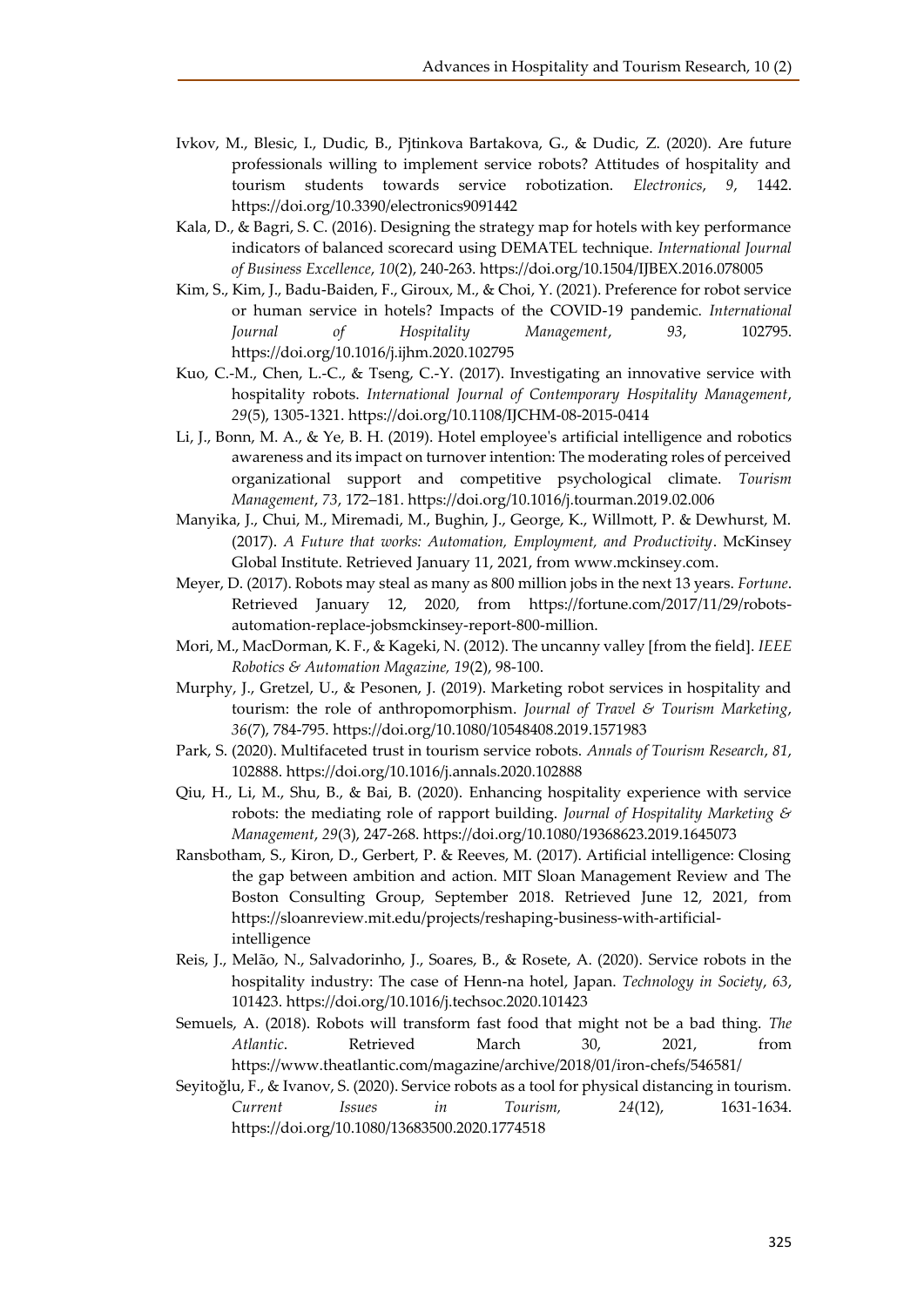- Ivkov, M., Blesic, I., Dudic, B., Pjtinkova Bartakova, G., & Dudic, Z. (2020). Are future professionals willing to implement service robots? Attitudes of hospitality and tourism students towards service robotization. *Electronics*, *9*, 1442. <https://doi.org/10.3390/electronics9091442>
- Kala, D., & Bagri, S. C. (2016). Designing the strategy map for hotels with key performance indicators of balanced scorecard using DEMATEL technique. *International Journal of Business Excellence*, *10*(2), 240-263.<https://doi.org/10.1504/IJBEX.2016.078005>
- Kim, S., Kim, J., Badu-Baiden, F., Giroux, M., & Choi, Y. (2021). Preference for robot service or human service in hotels? Impacts of the COVID-19 pandemic. *International Journal of Hospitality Management*, *93*, 102795. <https://doi.org/10.1016/j.ijhm.2020.102795>
- Kuo, C.-M., Chen, L.-C., & Tseng, C.-Y. (2017). Investigating an innovative service with hospitality robots. *International Journal of Contemporary Hospitality Management*, *29*(5), 1305-1321.<https://doi.org/10.1108/IJCHM-08-2015-0414>
- Li, J., Bonn, M. A., & Ye, B. H. (2019). Hotel employee's artificial intelligence and robotics awareness and its impact on turnover intention: The moderating roles of perceived organizational support and competitive psychological climate. *Tourism Management*, *73*, 172–181[. https://doi.org/10.1016/j.tourman.2019.02.006](https://doi.org/10.1016/j.tourman.2019.02.006)
- Manyika, J., Chui, M., Miremadi, M., Bughin, J., George, K., Willmott, P. & Dewhurst, M. (2017). *A Future that works: Automation, Employment, and Productivity*. McKinsey Global Institute. Retrieved January 11, 2021, from [www.mckinsey.com.](http://www.mckinsey.com/)
- Meyer, D. (2017). Robots may steal as many as 800 million jobs in the next 13 years. *Fortune*. Retrieved January 12, 2020, from https://fortune.com/2017/11/29/robotsautomation-replace-jobsmckinsey-report-800-million.
- Mori, M., MacDorman, K. F., & Kageki, N. (2012). The uncanny valley [from the field]. *IEEE Robotics & Automation Magazine, 19*(2), 98-100.
- Murphy, J., Gretzel, U., & Pesonen, J. (2019). Marketing robot services in hospitality and tourism: the role of anthropomorphism. *Journal of Travel & Tourism Marketing*, *36*(7), 784-795[. https://doi.org/10.1080/10548408.2019.1571983](https://doi.org/10.1080/10548408.2019.1571983)
- Park, S. (2020). Multifaceted trust in tourism service robots. *Annals of Tourism Research*, *81*, 102888.<https://doi.org/10.1016/j.annals.2020.102888>
- Qiu, H., Li, M., Shu, B., & Bai, B. (2020). Enhancing hospitality experience with service robots: the mediating role of rapport building. *Journal of Hospitality Marketing & Management*, *29*(3), 247-268[. https://doi.org/10.1080/19368623.2019.1645073](https://doi.org/10.1080/19368623.2019.1645073)
- Ransbotham, S., Kiron, D., Gerbert, P. & Reeves, M. (2017). Artificial intelligence: Closing the gap between ambition and action. MIT Sloan Management Review and The Boston Consulting Group, September 2018. Retrieved June 12, 2021, from https://sloanreview.mit.edu/projects/reshaping-business-with-artificialintelligence
- Reis, J., Melão, N., Salvadorinho, J., Soares, B., & Rosete, A. (2020). Service robots in the hospitality industry: The case of Henn-na hotel, Japan. *Technology in Society*, *63*, 101423.<https://doi.org/10.1016/j.techsoc.2020.101423>
- Semuels, A. (2018). Robots will transform fast food that might not be a bad thing. *The Atlantic*. Retrieved March 30, 2021, from https://www.theatlantic.com/magazine/archive/2018/01/iron-chefs/546581/
- Seyitoğlu, F., & Ivanov, S. (2020). Service robots as a tool for physical distancing in tourism. *Current Issues in Tourism, 24*(12), 1631-1634. <https://doi.org/10.1080/13683500.2020.1774518>